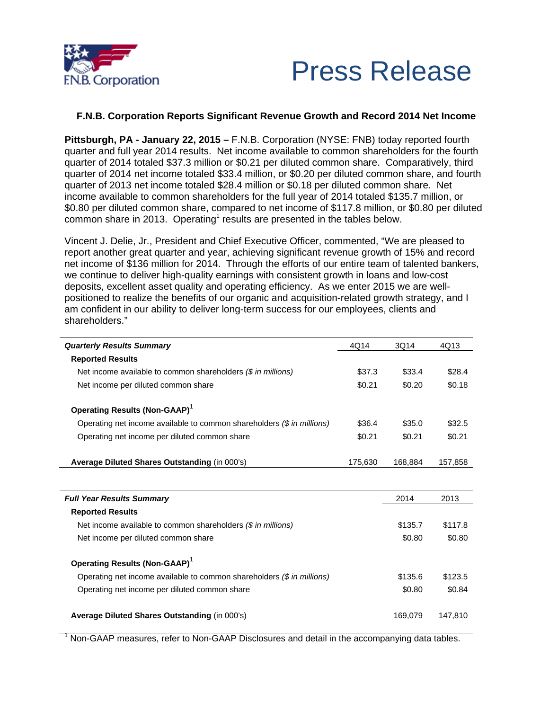



## **F.N.B. Corporation Reports Significant Revenue Growth and Record 2014 Net Income**

**Pittsburgh, PA - January 22, 2015 –** F.N.B. Corporation (NYSE: FNB) today reported fourth quarter and full year 2014 results. Net income available to common shareholders for the fourth quarter of 2014 totaled \$37.3 million or \$0.21 per diluted common share. Comparatively, third quarter of 2014 net income totaled \$33.4 million, or \$0.20 per diluted common share, and fourth quarter of 2013 net income totaled \$28.4 million or \$0.18 per diluted common share. Net income available to common shareholders for the full year of 2014 totaled \$135.7 million, or \$0.80 per diluted common share, compared to net income of \$117.8 million, or \$0.80 per diluted common share in 2013. Operating<sup>1</sup> results are presented in the tables below.

Vincent J. Delie, Jr., President and Chief Executive Officer, commented, "We are pleased to report another great quarter and year, achieving significant revenue growth of 15% and record net income of \$136 million for 2014. Through the efforts of our entire team of talented bankers, we continue to deliver high-quality earnings with consistent growth in loans and low-cost deposits, excellent asset quality and operating efficiency. As we enter 2015 we are wellpositioned to realize the benefits of our organic and acquisition-related growth strategy, and I am confident in our ability to deliver long-term success for our employees, clients and shareholders."

| <b>Quarterly Results Summary</b>                                                  | 4Q14    | 3Q14    | 4Q13    |
|-----------------------------------------------------------------------------------|---------|---------|---------|
| <b>Reported Results</b>                                                           |         |         |         |
| Net income available to common shareholders (\$ in millions)                      | \$37.3  | \$33.4  | \$28.4  |
| Net income per diluted common share                                               | \$0.21  | \$0.20  | \$0.18  |
| <b>Operating Results (Non-GAAP)</b> <sup>1</sup>                                  |         |         |         |
| Operating net income available to common shareholders $(\frac{1}{2}$ in millions) | \$36.4  | \$35.0  | \$32.5  |
| Operating net income per diluted common share                                     | \$0.21  | \$0.21  | \$0.21  |
| Average Diluted Shares Outstanding (in 000's)                                     | 175,630 | 168,884 | 157,858 |
|                                                                                   |         |         |         |
| <b>Full Year Results Summary</b>                                                  |         | 2014    | 2013    |
| <b>Reported Results</b>                                                           |         |         |         |
| Net income available to common shareholders $(\$$ in millions)                    |         | \$135.7 | \$117.8 |
| Net income per diluted common share                                               |         | \$0.80  | \$0.80  |
| Operating Results (Non-GAAP) <sup>1</sup>                                         |         |         |         |
| Operating net income available to common shareholders $(\frac{1}{2}$ in millions) |         | \$135.6 | \$123.5 |
| Operating net income per diluted common share                                     |         | \$0.80  | \$0.84  |
| Average Diluted Shares Outstanding (in 000's)                                     |         | 169,079 | 147,810 |

<sup>1</sup> Non-GAAP measures, refer to Non-GAAP Disclosures and detail in the accompanying data tables.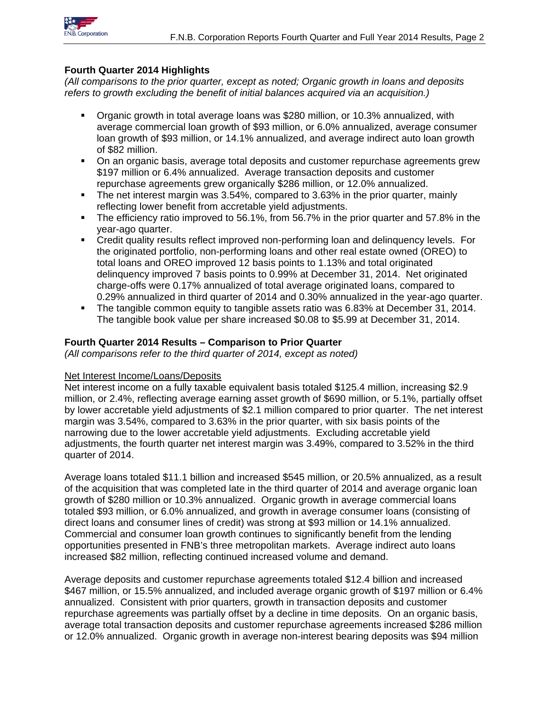

## **Fourth Quarter 2014 Highlights**

*(All comparisons to the prior quarter, except as noted; Organic growth in loans and deposits refers to growth excluding the benefit of initial balances acquired via an acquisition.)* 

- Organic growth in total average loans was \$280 million, or 10.3% annualized, with average commercial loan growth of \$93 million, or 6.0% annualized, average consumer loan growth of \$93 million, or 14.1% annualized, and average indirect auto loan growth of \$82 million.
- On an organic basis, average total deposits and customer repurchase agreements grew \$197 million or 6.4% annualized. Average transaction deposits and customer repurchase agreements grew organically \$286 million, or 12.0% annualized.
- The net interest margin was 3.54%, compared to 3.63% in the prior quarter, mainly reflecting lower benefit from accretable yield adjustments.
- The efficiency ratio improved to 56.1%, from 56.7% in the prior quarter and 57.8% in the year-ago quarter.
- Credit quality results reflect improved non-performing loan and delinquency levels. For the originated portfolio, non-performing loans and other real estate owned (OREO) to total loans and OREO improved 12 basis points to 1.13% and total originated delinquency improved 7 basis points to 0.99% at December 31, 2014. Net originated charge-offs were 0.17% annualized of total average originated loans, compared to 0.29% annualized in third quarter of 2014 and 0.30% annualized in the year-ago quarter.
- The tangible common equity to tangible assets ratio was 6.83% at December 31, 2014. The tangible book value per share increased \$0.08 to \$5.99 at December 31, 2014.

## **Fourth Quarter 2014 Results – Comparison to Prior Quarter**

*(All comparisons refer to the third quarter of 2014, except as noted)*

### Net Interest Income/Loans/Deposits

Net interest income on a fully taxable equivalent basis totaled \$125.4 million, increasing \$2.9 million, or 2.4%, reflecting average earning asset growth of \$690 million, or 5.1%, partially offset by lower accretable yield adjustments of \$2.1 million compared to prior quarter. The net interest margin was 3.54%, compared to 3.63% in the prior quarter, with six basis points of the narrowing due to the lower accretable yield adjustments. Excluding accretable yield adjustments, the fourth quarter net interest margin was 3.49%, compared to 3.52% in the third quarter of 2014.

Average loans totaled \$11.1 billion and increased \$545 million, or 20.5% annualized, as a result of the acquisition that was completed late in the third quarter of 2014 and average organic loan growth of \$280 million or 10.3% annualized. Organic growth in average commercial loans totaled \$93 million, or 6.0% annualized, and growth in average consumer loans (consisting of direct loans and consumer lines of credit) was strong at \$93 million or 14.1% annualized. Commercial and consumer loan growth continues to significantly benefit from the lending opportunities presented in FNB's three metropolitan markets. Average indirect auto loans increased \$82 million, reflecting continued increased volume and demand.

Average deposits and customer repurchase agreements totaled \$12.4 billion and increased \$467 million, or 15.5% annualized, and included average organic growth of \$197 million or 6.4% annualized. Consistent with prior quarters, growth in transaction deposits and customer repurchase agreements was partially offset by a decline in time deposits. On an organic basis, average total transaction deposits and customer repurchase agreements increased \$286 million or 12.0% annualized. Organic growth in average non-interest bearing deposits was \$94 million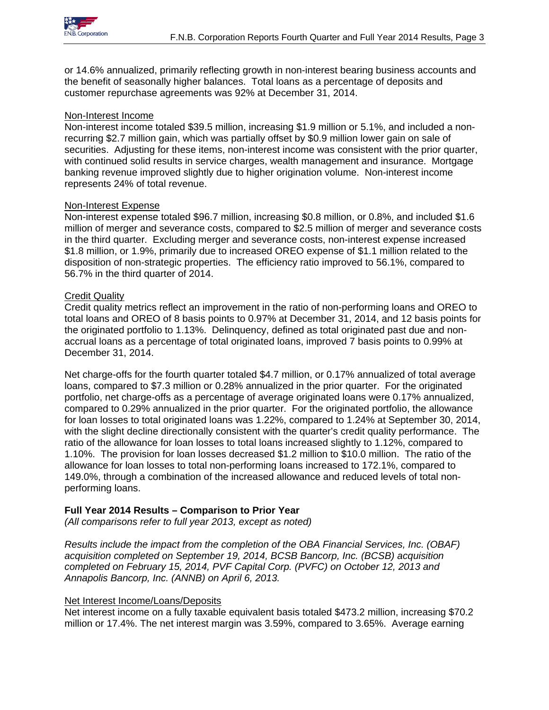

or 14.6% annualized, primarily reflecting growth in non-interest bearing business accounts and the benefit of seasonally higher balances. Total loans as a percentage of deposits and customer repurchase agreements was 92% at December 31, 2014.

## Non-Interest Income

Non-interest income totaled \$39.5 million, increasing \$1.9 million or 5.1%, and included a nonrecurring \$2.7 million gain, which was partially offset by \$0.9 million lower gain on sale of securities. Adjusting for these items, non-interest income was consistent with the prior quarter, with continued solid results in service charges, wealth management and insurance. Mortgage banking revenue improved slightly due to higher origination volume. Non-interest income represents 24% of total revenue.

## Non-Interest Expense

Non-interest expense totaled \$96.7 million, increasing \$0.8 million, or 0.8%, and included \$1.6 million of merger and severance costs, compared to \$2.5 million of merger and severance costs in the third quarter. Excluding merger and severance costs, non-interest expense increased \$1.8 million, or 1.9%, primarily due to increased OREO expense of \$1.1 million related to the disposition of non-strategic properties. The efficiency ratio improved to 56.1%, compared to 56.7% in the third quarter of 2014.

## Credit Quality

Credit quality metrics reflect an improvement in the ratio of non-performing loans and OREO to total loans and OREO of 8 basis points to 0.97% at December 31, 2014, and 12 basis points for the originated portfolio to 1.13%. Delinquency, defined as total originated past due and nonaccrual loans as a percentage of total originated loans, improved 7 basis points to 0.99% at December 31, 2014.

Net charge-offs for the fourth quarter totaled \$4.7 million, or 0.17% annualized of total average loans, compared to \$7.3 million or 0.28% annualized in the prior quarter. For the originated portfolio, net charge-offs as a percentage of average originated loans were 0.17% annualized, compared to 0.29% annualized in the prior quarter. For the originated portfolio, the allowance for loan losses to total originated loans was 1.22%, compared to 1.24% at September 30, 2014, with the slight decline directionally consistent with the quarter's credit quality performance. The ratio of the allowance for loan losses to total loans increased slightly to 1.12%, compared to 1.10%. The provision for loan losses decreased \$1.2 million to \$10.0 million. The ratio of the allowance for loan losses to total non-performing loans increased to 172.1%, compared to 149.0%, through a combination of the increased allowance and reduced levels of total nonperforming loans.

## **Full Year 2014 Results – Comparison to Prior Year**

*(All comparisons refer to full year 2013, except as noted)* 

*Results include the impact from the completion of the OBA Financial Services, Inc. (OBAF) acquisition completed on September 19, 2014, BCSB Bancorp, Inc. (BCSB) acquisition completed on February 15, 2014, PVF Capital Corp. (PVFC) on October 12, 2013 and Annapolis Bancorp, Inc. (ANNB) on April 6, 2013.* 

## Net Interest Income/Loans/Deposits

Net interest income on a fully taxable equivalent basis totaled \$473.2 million, increasing \$70.2 million or 17.4%. The net interest margin was 3.59%, compared to 3.65%. Average earning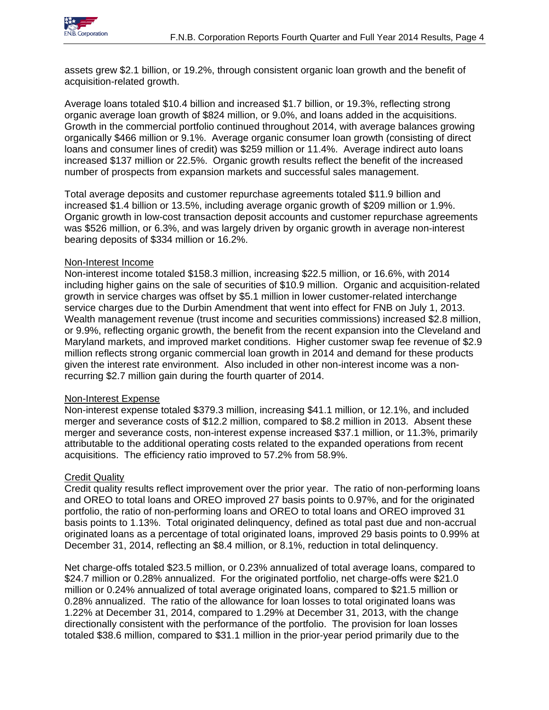assets grew \$2.1 billion, or 19.2%, through consistent organic loan growth and the benefit of acquisition-related growth.

Average loans totaled \$10.4 billion and increased \$1.7 billion, or 19.3%, reflecting strong organic average loan growth of \$824 million, or 9.0%, and loans added in the acquisitions. Growth in the commercial portfolio continued throughout 2014, with average balances growing organically \$466 million or 9.1%. Average organic consumer loan growth (consisting of direct loans and consumer lines of credit) was \$259 million or 11.4%. Average indirect auto loans increased \$137 million or 22.5%. Organic growth results reflect the benefit of the increased number of prospects from expansion markets and successful sales management.

Total average deposits and customer repurchase agreements totaled \$11.9 billion and increased \$1.4 billion or 13.5%, including average organic growth of \$209 million or 1.9%. Organic growth in low-cost transaction deposit accounts and customer repurchase agreements was \$526 million, or 6.3%, and was largely driven by organic growth in average non-interest bearing deposits of \$334 million or 16.2%.

## Non-Interest Income

Non-interest income totaled \$158.3 million, increasing \$22.5 million, or 16.6%, with 2014 including higher gains on the sale of securities of \$10.9 million. Organic and acquisition-related growth in service charges was offset by \$5.1 million in lower customer-related interchange service charges due to the Durbin Amendment that went into effect for FNB on July 1, 2013. Wealth management revenue (trust income and securities commissions) increased \$2.8 million, or 9.9%, reflecting organic growth, the benefit from the recent expansion into the Cleveland and Maryland markets, and improved market conditions. Higher customer swap fee revenue of \$2.9 million reflects strong organic commercial loan growth in 2014 and demand for these products given the interest rate environment. Also included in other non-interest income was a nonrecurring \$2.7 million gain during the fourth quarter of 2014.

## Non-Interest Expense

Non-interest expense totaled \$379.3 million, increasing \$41.1 million, or 12.1%, and included merger and severance costs of \$12.2 million, compared to \$8.2 million in 2013. Absent these merger and severance costs, non-interest expense increased \$37.1 million, or 11.3%, primarily attributable to the additional operating costs related to the expanded operations from recent acquisitions. The efficiency ratio improved to 57.2% from 58.9%.

# **Credit Quality**

Credit quality results reflect improvement over the prior year. The ratio of non-performing loans and OREO to total loans and OREO improved 27 basis points to 0.97%, and for the originated portfolio, the ratio of non-performing loans and OREO to total loans and OREO improved 31 basis points to 1.13%. Total originated delinquency, defined as total past due and non-accrual originated loans as a percentage of total originated loans, improved 29 basis points to 0.99% at December 31, 2014, reflecting an \$8.4 million, or 8.1%, reduction in total delinquency.

Net charge-offs totaled \$23.5 million, or 0.23% annualized of total average loans, compared to \$24.7 million or 0.28% annualized. For the originated portfolio, net charge-offs were \$21.0 million or 0.24% annualized of total average originated loans, compared to \$21.5 million or 0.28% annualized. The ratio of the allowance for loan losses to total originated loans was 1.22% at December 31, 2014, compared to 1.29% at December 31, 2013, with the change directionally consistent with the performance of the portfolio. The provision for loan losses totaled \$38.6 million, compared to \$31.1 million in the prior-year period primarily due to the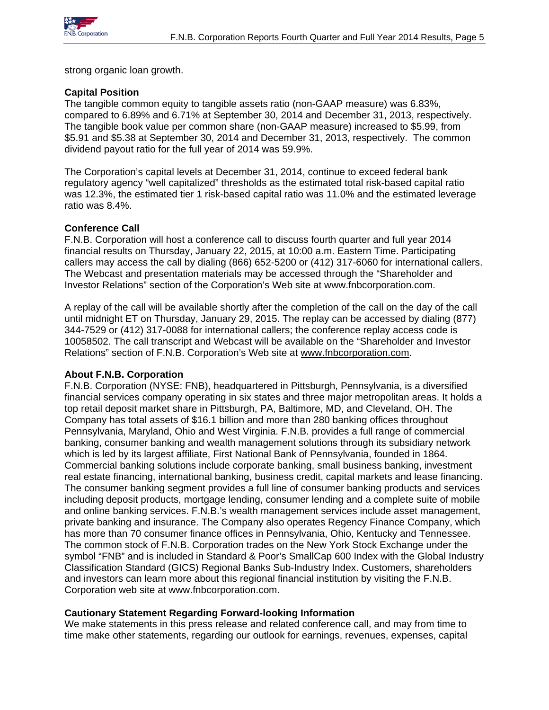

strong organic loan growth.

## **Capital Position**

The tangible common equity to tangible assets ratio (non-GAAP measure) was 6.83%, compared to 6.89% and 6.71% at September 30, 2014 and December 31, 2013, respectively. The tangible book value per common share (non-GAAP measure) increased to \$5.99, from \$5.91 and \$5.38 at September 30, 2014 and December 31, 2013, respectively. The common dividend payout ratio for the full year of 2014 was 59.9%.

The Corporation's capital levels at December 31, 2014, continue to exceed federal bank regulatory agency "well capitalized" thresholds as the estimated total risk-based capital ratio was 12.3%, the estimated tier 1 risk-based capital ratio was 11.0% and the estimated leverage ratio was 8.4%.

## **Conference Call**

F.N.B. Corporation will host a conference call to discuss fourth quarter and full year 2014 financial results on Thursday, January 22, 2015, at 10:00 a.m. Eastern Time. Participating callers may access the call by dialing (866) 652-5200 or (412) 317-6060 for international callers. The Webcast and presentation materials may be accessed through the "Shareholder and Investor Relations" section of the Corporation's Web site at www.fnbcorporation.com.

A replay of the call will be available shortly after the completion of the call on the day of the call until midnight ET on Thursday, January 29, 2015. The replay can be accessed by dialing (877) 344-7529 or (412) 317-0088 for international callers; the conference replay access code is 10058502. The call transcript and Webcast will be available on the "Shareholder and Investor Relations" section of F.N.B. Corporation's Web site at www.fnbcorporation.com.

### **About F.N.B. Corporation**

F.N.B. Corporation (NYSE: FNB), headquartered in Pittsburgh, Pennsylvania, is a diversified financial services company operating in six states and three major metropolitan areas. It holds a top retail deposit market share in Pittsburgh, PA, Baltimore, MD, and Cleveland, OH. The Company has total assets of \$16.1 billion and more than 280 banking offices throughout Pennsylvania, Maryland, Ohio and West Virginia. F.N.B. provides a full range of commercial banking, consumer banking and wealth management solutions through its subsidiary network which is led by its largest affiliate, First National Bank of Pennsylvania, founded in 1864. Commercial banking solutions include corporate banking, small business banking, investment real estate financing, international banking, business credit, capital markets and lease financing. The consumer banking segment provides a full line of consumer banking products and services including deposit products, mortgage lending, consumer lending and a complete suite of mobile and online banking services. F.N.B.'s wealth management services include asset management, private banking and insurance. The Company also operates Regency Finance Company, which has more than 70 consumer finance offices in Pennsylvania, Ohio, Kentucky and Tennessee. The common stock of F.N.B. Corporation trades on the New York Stock Exchange under the symbol "FNB" and is included in Standard & Poor's SmallCap 600 Index with the Global Industry Classification Standard (GICS) Regional Banks Sub-Industry Index. Customers, shareholders and investors can learn more about this regional financial institution by visiting the F.N.B. Corporation web site at www.fnbcorporation.com.

## **Cautionary Statement Regarding Forward-looking Information**

We make statements in this press release and related conference call, and may from time to time make other statements, regarding our outlook for earnings, revenues, expenses, capital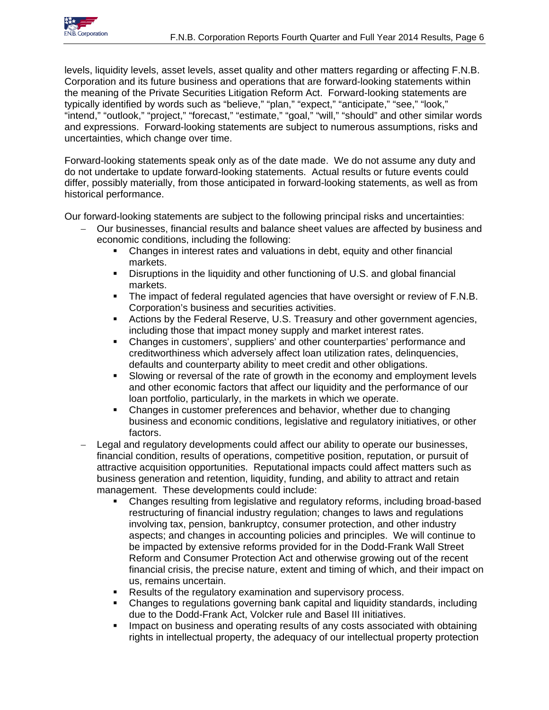

levels, liquidity levels, asset levels, asset quality and other matters regarding or affecting F.N.B. Corporation and its future business and operations that are forward-looking statements within the meaning of the Private Securities Litigation Reform Act. Forward-looking statements are typically identified by words such as "believe," "plan," "expect," "anticipate," "see," "look," "intend," "outlook," "project," "forecast," "estimate," "goal," "will," "should" and other similar words and expressions. Forward-looking statements are subject to numerous assumptions, risks and uncertainties, which change over time.

Forward-looking statements speak only as of the date made. We do not assume any duty and do not undertake to update forward-looking statements. Actual results or future events could differ, possibly materially, from those anticipated in forward-looking statements, as well as from historical performance.

Our forward-looking statements are subject to the following principal risks and uncertainties:

- Our businesses, financial results and balance sheet values are affected by business and economic conditions, including the following:
	- Changes in interest rates and valuations in debt, equity and other financial markets.
	- Disruptions in the liquidity and other functioning of U.S. and global financial markets.
	- The impact of federal regulated agencies that have oversight or review of F.N.B. Corporation's business and securities activities.
	- Actions by the Federal Reserve, U.S. Treasury and other government agencies, including those that impact money supply and market interest rates.
	- Changes in customers', suppliers' and other counterparties' performance and creditworthiness which adversely affect loan utilization rates, delinquencies, defaults and counterparty ability to meet credit and other obligations.
	- Slowing or reversal of the rate of growth in the economy and employment levels and other economic factors that affect our liquidity and the performance of our loan portfolio, particularly, in the markets in which we operate.
	- Changes in customer preferences and behavior, whether due to changing business and economic conditions, legislative and regulatory initiatives, or other factors.
- Legal and regulatory developments could affect our ability to operate our businesses, financial condition, results of operations, competitive position, reputation, or pursuit of attractive acquisition opportunities. Reputational impacts could affect matters such as business generation and retention, liquidity, funding, and ability to attract and retain management. These developments could include:
	- Changes resulting from legislative and regulatory reforms, including broad-based restructuring of financial industry regulation; changes to laws and regulations involving tax, pension, bankruptcy, consumer protection, and other industry aspects; and changes in accounting policies and principles. We will continue to be impacted by extensive reforms provided for in the Dodd-Frank Wall Street Reform and Consumer Protection Act and otherwise growing out of the recent financial crisis, the precise nature, extent and timing of which, and their impact on us, remains uncertain.
	- Results of the regulatory examination and supervisory process.
	- Changes to regulations governing bank capital and liquidity standards, including due to the Dodd-Frank Act, Volcker rule and Basel III initiatives.
	- **IMPACT ON BUS AND FIGUREY 10 ATTLE 10 FIGUREY 10 FIGUREY 10 FIGUREY 10 FIGUREY 10 FIGUREY 10 FIGUREY 10 FIGUREY 10 FIGUREY 10 FIGUREY 10 FIGUREY 10 FIGUREY 10 FIGUREY 10 FIGUREY 10 FIGUREY 10 FIGUREY 10 FIGUREY 10 FIGUREY** rights in intellectual property, the adequacy of our intellectual property protection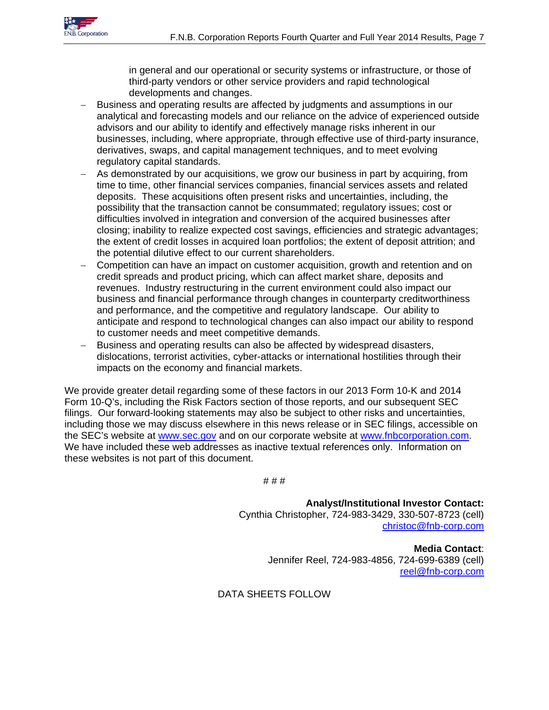

in general and our operational or security systems or infrastructure, or those of third-party vendors or other service providers and rapid technological developments and changes.

- Business and operating results are affected by judgments and assumptions in our analytical and forecasting models and our reliance on the advice of experienced outside advisors and our ability to identify and effectively manage risks inherent in our businesses, including, where appropriate, through effective use of third-party insurance, derivatives, swaps, and capital management techniques, and to meet evolving regulatory capital standards.
- As demonstrated by our acquisitions, we grow our business in part by acquiring, from time to time, other financial services companies, financial services assets and related deposits. These acquisitions often present risks and uncertainties, including, the possibility that the transaction cannot be consummated; regulatory issues; cost or difficulties involved in integration and conversion of the acquired businesses after closing; inability to realize expected cost savings, efficiencies and strategic advantages; the extent of credit losses in acquired loan portfolios; the extent of deposit attrition; and the potential dilutive effect to our current shareholders.
- Competition can have an impact on customer acquisition, growth and retention and on credit spreads and product pricing, which can affect market share, deposits and revenues. Industry restructuring in the current environment could also impact our business and financial performance through changes in counterparty creditworthiness and performance, and the competitive and regulatory landscape. Our ability to anticipate and respond to technological changes can also impact our ability to respond to customer needs and meet competitive demands.
- Business and operating results can also be affected by widespread disasters, dislocations, terrorist activities, cyber-attacks or international hostilities through their impacts on the economy and financial markets.

We provide greater detail regarding some of these factors in our 2013 Form 10-K and 2014 Form 10-Q's, including the Risk Factors section of those reports, and our subsequent SEC filings. Our forward-looking statements may also be subject to other risks and uncertainties, including those we may discuss elsewhere in this news release or in SEC filings, accessible on the SEC's website at www.sec.gov and on our corporate website at www.fnbcorporation.com. We have included these web addresses as inactive textual references only. Information on these websites is not part of this document.

# # #

**Analyst/Institutional Investor Contact:** Cynthia Christopher, 724-983-3429, 330-507-8723 (cell) christoc@fnb-corp.com

> **Media Contact**: Jennifer Reel, 724-983-4856, 724-699-6389 (cell) reel@fnb-corp.com

## DATA SHEETS FOLLOW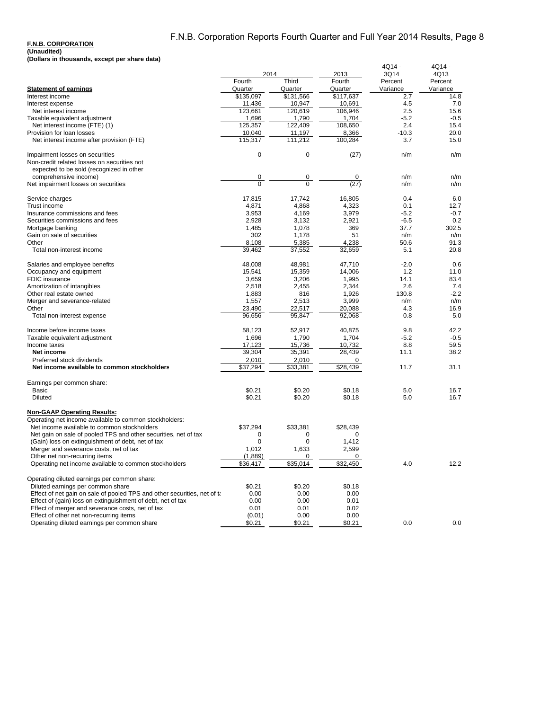#### **F.N.B. CORPORATION**

|                                                                          |                  |                  |                  | 4Q14 -     | 4Q14 -      |
|--------------------------------------------------------------------------|------------------|------------------|------------------|------------|-------------|
|                                                                          | 2014             |                  | 2013             | 3Q14       | 4Q13        |
|                                                                          | Fourth           | Third            | Fourth           | Percent    | Percent     |
| <b>Statement of earnings</b>                                             | Quarter          | Quarter          | Quarter          | Variance   | Variance    |
| Interest income                                                          | \$135,097        | \$131,566        | \$117,637        | 2.7        | 14.8        |
| Interest expense                                                         | 11,436           | 10,947           | 10,691           | 4.5        | 7.0         |
| Net interest income                                                      | 123,661          | 120,619          | 106,946          | 2.5        | 15.6        |
| Taxable equivalent adjustment                                            | 1,696            | 1,790            | 1,704            | $-5.2$     | $-0.5$      |
| Net interest income (FTE) (1)                                            | 125,357          | 122.409          | 108,650          | 2.4        | 15.4        |
| Provision for loan losses                                                | 10,040           | 11,197           | 8,366            | $-10.3$    | 20.0        |
| Net interest income after provision (FTE)                                | 115,317          | 111,212          | 100,284          | 3.7        | 15.0        |
| Impairment losses on securities                                          | $\overline{0}$   | 0                | (27)             | n/m        | n/m         |
| Non-credit related losses on securities not                              |                  |                  |                  |            |             |
| expected to be sold (recognized in other                                 |                  |                  |                  |            |             |
| comprehensive income)                                                    | 0                | 0                | 0                | n/m        | n/m         |
| Net impairment losses on securities                                      | $\overline{0}$   | $\overline{0}$   | (27)             | n/m        | n/m         |
| Service charges                                                          | 17,815           | 17,742           | 16,805           | 0.4        | 6.0         |
| Trust income                                                             | 4,871            | 4,868            | 4,323            | 0.1        | 12.7        |
| Insurance commissions and fees                                           | 3,953            | 4,169            | 3,979            | $-5.2$     | $-0.7$      |
| Securities commissions and fees                                          | 2,928            | 3,132            | 2,921            | $-6.5$     | 0.2         |
| Mortgage banking                                                         | 1,485            | 1,078            | 369              | 37.7       | 302.5       |
| Gain on sale of securities                                               | 302              | 1,178            | 51               | n/m        | n/m         |
| Other                                                                    | 8,108            | 5,385            | 4,238            | 50.6       | 91.3        |
| Total non-interest income                                                | 39,462           | 37,552           | 32,659           | 5.1        | 20.8        |
| Salaries and employee benefits                                           | 48,008           | 48,981           | 47,710           | $-2.0$     | 0.6         |
| Occupancy and equipment                                                  | 15,541           | 15,359           | 14,006           | 1.2        | 11.0        |
| FDIC insurance                                                           | 3,659            | 3,206            | 1,995            | 14.1       | 83.4        |
| Amortization of intangibles                                              | 2,518            | 2,455            | 2,344            | 2.6        | 7.4         |
| Other real estate owned                                                  | 1,883            | 816              | 1,926            | 130.8      | $-2.2$      |
|                                                                          |                  |                  | 3,999            | n/m        | n/m         |
| Merger and severance-related                                             | 1,557            | 2,513            |                  |            |             |
| Other<br>Total non-interest expense                                      | 23,490<br>96,656 | 22,517<br>95,847 | 20,088<br>92,068 | 4.3<br>0.8 | 16.9<br>5.0 |
|                                                                          |                  |                  |                  |            |             |
| Income before income taxes                                               | 58,123           | 52,917           | 40,875           | 9.8        | 42.2        |
| Taxable equivalent adjustment                                            | 1,696            | 1,790            | 1,704            | $-5.2$     | $-0.5$      |
| Income taxes                                                             | 17,123           | 15,736           | 10,732           | 8.8        | 59.5        |
| Net income                                                               | 39.304           | 35,391           | 28,439           | 11.1       | 38.2        |
| Preferred stock dividends                                                | 2,010            | 2,010            | 0                |            |             |
| Net income available to common stockholders                              | \$37,294         | \$33,381         | \$28,439         | 11.7       | 31.1        |
| Earnings per common share:                                               |                  |                  |                  |            |             |
| Basic                                                                    | \$0.21           | \$0.20           | \$0.18           | 5.0        | 16.7        |
| <b>Diluted</b>                                                           | \$0.21           | \$0.20           | \$0.18           | 5.0        | 16.7        |
| <b>Non-GAAP Operating Results:</b>                                       |                  |                  |                  |            |             |
| Operating net income available to common stockholders:                   |                  |                  |                  |            |             |
| Net income available to common stockholders                              | \$37,294         | \$33,381         | \$28,439         |            |             |
| Net gain on sale of pooled TPS and other securities, net of tax          | 0                | 0                | 0                |            |             |
| (Gain) loss on extinguishment of debt, net of tax                        | $\mathbf 0$      | 0                | 1,412            |            |             |
| Merger and severance costs, net of tax                                   | 1,012            | 1,633            | 2,599            |            |             |
| Other net non-recurring items                                            | (1,889)          | 0                | 0                |            |             |
| Operating net income available to common stockholders                    | \$36,417         | \$35,014         | \$32,450         | 4.0        | 12.2        |
|                                                                          |                  |                  |                  |            |             |
| Operating diluted earnings per common share:                             |                  |                  |                  |            |             |
| Diluted earnings per common share                                        | \$0.21           | \$0.20           | \$0.18           |            |             |
| Effect of net gain on sale of pooled TPS and other securities, net of ta | 0.00             | 0.00             | 0.00             |            |             |
| Effect of (gain) loss on extinguishment of debt, net of tax              | 0.00             | 0.00             | 0.01             |            |             |
| Effect of merger and severance costs, net of tax                         | 0.01             | 0.01             | 0.02             |            |             |
| Effect of other net non-recurring items                                  | (0.01)           | 0.00             | 0.00             |            |             |
| Operating diluted earnings per common share                              | \$0.21           | \$0.21           | \$0.21           | 0.0        | 0.0         |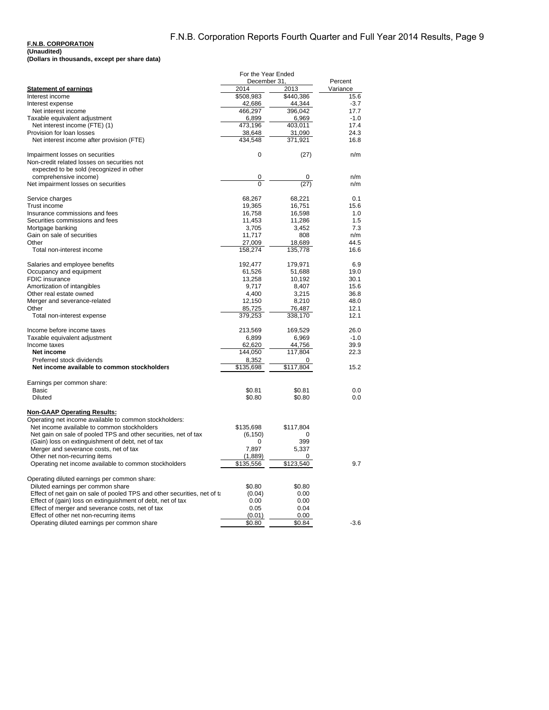### **F.N.B. CORPORATION**

### **(Unaudited)**

| (Dollars in thousands, except per share data) |  |
|-----------------------------------------------|--|
|-----------------------------------------------|--|

|                                                                                | For the Year Ended    |                   |                  |
|--------------------------------------------------------------------------------|-----------------------|-------------------|------------------|
|                                                                                | December 31.          |                   | Percent          |
| <b>Statement of earnings</b><br>Interest income                                | 2014<br>\$508,983     | 2013<br>\$440,386 | Variance<br>15.6 |
| Interest expense                                                               | 42,686                | 44,344            | $-3.7$           |
| Net interest income                                                            | 466,297               | 396,042           | 17.7             |
| Taxable equivalent adjustment                                                  | 6,899                 | 6,969             | $-1.0$           |
| Net interest income (FTE) (1)                                                  | 473,196               | 403,011           | 17.4             |
| Provision for loan losses                                                      | 38,648                | 31,090            | 24.3             |
| Net interest income after provision (FTE)                                      | 434,548               | 371,921           | 16.8             |
| Impairment losses on securities<br>Non-credit related losses on securities not | 0                     | (27)              | n/m              |
| expected to be sold (recognized in other<br>comprehensive income)              | 0                     |                   | n/m              |
| Net impairment losses on securities                                            | $\overline{0}$        | (27)              | n/m              |
|                                                                                |                       |                   |                  |
| Service charges                                                                | 68,267                | 68,221            | 0.1              |
| Trust income                                                                   | 19,365                | 16,751            | 15.6             |
| Insurance commissions and fees                                                 | 16,758                | 16,598            | 1.0              |
| Securities commissions and fees                                                | 11,453                | 11,286            | 1.5              |
| Mortgage banking                                                               | 3,705                 | 3,452             | 7.3              |
| Gain on sale of securities                                                     | 11,717                | 808               | n/m              |
| Other                                                                          | 27,009                | 18,689            | 44.5             |
| Total non-interest income                                                      | 158,274               | 135,778           | 16.6             |
| Salaries and employee benefits                                                 | 192,477               | 179,971           | 6.9              |
| Occupancy and equipment                                                        | 61,526                | 51,688            | 19.0             |
| FDIC insurance                                                                 | 13,258                | 10,192            | 30.1             |
| Amortization of intangibles                                                    | 9,717                 | 8,407             | 15.6             |
| Other real estate owned                                                        | 4,400                 | 3,215             | 36.8             |
| Merger and severance-related                                                   | 12,150                | 8,210             | 48.0             |
| Other                                                                          | 85,725                | 76,487            | 12.1             |
| Total non-interest expense                                                     | 379,253               | 338,170           | 12.1             |
| Income before income taxes                                                     | 213,569               | 169,529           | 26.0             |
| Taxable equivalent adjustment                                                  | 6,899                 | 6,969             | $-1.0$           |
| Income taxes                                                                   | 62,620                | 44,756            | 39.9             |
| Net income                                                                     | 144,050               | 117,804           | 22.3             |
| Preferred stock dividends                                                      | 8,352                 | 0                 |                  |
| Net income available to common stockholders                                    | \$135,698             | \$117,804         | 15.2             |
| Earnings per common share:                                                     |                       |                   |                  |
| Basic                                                                          | \$0.81                | \$0.81            | 0.0              |
| <b>Diluted</b>                                                                 | \$0.80                | \$0.80            | 0.0              |
| <b>Non-GAAP Operating Results:</b>                                             |                       |                   |                  |
| Operating net income available to common stockholders:                         |                       |                   |                  |
| Net income available to common stockholders                                    | \$135,698             | \$117,804         |                  |
| Net gain on sale of pooled TPS and other securities, net of tax                | (6, 150)              | 0                 |                  |
| (Gain) loss on extinguishment of debt, net of tax                              | 0                     | 399               |                  |
| Merger and severance costs, net of tax                                         | 7,897                 | 5,337             |                  |
| Other net non-recurring items                                                  | (1,889)               | 0                 |                  |
| Operating net income available to common stockholders                          | $\overline{$135,556}$ | \$123,540         | 9.7              |
| Operating diluted earnings per common share:                                   |                       |                   |                  |
| Diluted earnings per common share                                              | \$0.80                | \$0.80            |                  |
| Effect of net gain on sale of pooled TPS and other securities, net of ta       | (0.04)                | 0.00              |                  |
| Effect of (gain) loss on extinguishment of debt, net of tax                    | 0.00                  | 0.00              |                  |
| Effect of merger and severance costs, net of tax                               | 0.05                  | 0.04              |                  |
| Effect of other net non-recurring items                                        | (0.01)                | 0.00              |                  |
| Operating diluted earnings per common share                                    | \$0.80                | \$0.84            | $-3.6$           |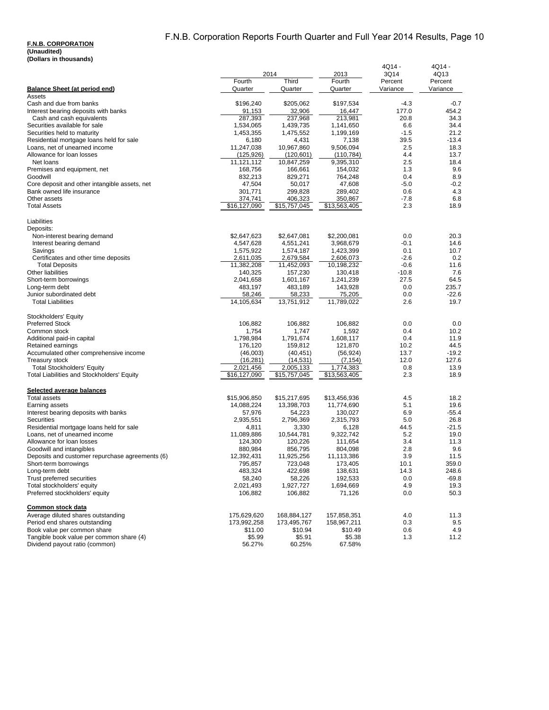### **F.N.B. CORPORATION (Unaudited)**

|  |  | (Dollars in thousands) |
|--|--|------------------------|
|--|--|------------------------|

|                                                                           |                        | 2014                   | 2013                     | 4Q14 -<br>3Q14  | 4Q14 -<br>4Q13  |
|---------------------------------------------------------------------------|------------------------|------------------------|--------------------------|-----------------|-----------------|
|                                                                           | Fourth                 | Third                  | Fourth                   | Percent         | Percent         |
| Balance Sheet (at period end)                                             | Quarter                | Quarter                | Quarter                  | Variance        | Variance        |
| Assets                                                                    |                        |                        |                          |                 |                 |
| Cash and due from banks<br>Interest bearing deposits with banks           | \$196,240<br>91,153    | \$205,062<br>32,906    | \$197,534<br>16,447      | $-4.3$<br>177.0 | $-0.7$<br>454.2 |
| Cash and cash equivalents                                                 | 287,393                | 237.968                | 213.981                  | 20.8            | 34.3            |
| Securities available for sale                                             | 1,534,065              | 1,439,735              | 1,141,650                | 6.6             | 34.4            |
| Securities held to maturity                                               | 1,453,355              | 1,475,552              | 1,199,169                | $-1.5$          | 21.2            |
| Residential mortgage loans held for sale                                  | 6,180                  | 4,431                  | 7,138                    | 39.5            | $-13.4$         |
| Loans, net of unearned income                                             | 11,247,038             | 10,967,860             | 9,506,094                | 2.5             | 18.3            |
| Allowance for loan losses                                                 | (125, 926)             | (120, 601)             | (110, 784)               | 4.4             | 13.7            |
| Net loans                                                                 | 11,121,112             | 10,847,259             | 9,395,310                | 2.5             | 18.4            |
| Premises and equipment, net                                               | 168,756                | 166,661                | 154,032                  | 1.3             | 9.6<br>8.9      |
| Goodwill<br>Core deposit and other intangible assets, net                 | 832,213<br>47,504      | 829,271<br>50,017      | 764,248<br>47,608        | 0.4<br>$-5.0$   | $-0.2$          |
| Bank owned life insurance                                                 | 301,771                | 299,828                | 289,402                  | 0.6             | 4.3             |
| Other assets                                                              | 374,741                | 406,323                | 350,867                  | $-7.8$          | 6.8             |
| <b>Total Assets</b>                                                       | \$16,127,090           | \$15,757,045           | \$13,563,405             | 2.3             | 18.9            |
| Liabilities                                                               |                        |                        |                          |                 |                 |
| Deposits:                                                                 |                        |                        |                          |                 |                 |
| Non-interest bearing demand                                               | \$2,647,623            | \$2,647,081            | \$2,200,081<br>3,968,679 | 0.0<br>-0.1     | 20.3<br>14.6    |
| Interest bearing demand<br>Savings                                        | 4,547,628<br>1,575,922 | 4,551,241<br>1,574,187 | 1,423,399                | 0.1             | 10.7            |
| Certificates and other time deposits                                      | 2,611,035              | 2,679,584              | 2,606,073                | $-2.6$          | 0.2             |
| <b>Total Deposits</b>                                                     | 11,382,208             | 11,452,093             | 10,198,232               | $-0.6$          | 11.6            |
| Other liabilities                                                         | 140,325                | 157,230                | 130,418                  | $-10.8$         | 7.6             |
| Short-term borrowings                                                     | 2,041,658              | 1,601,167              | 1,241,239                | 27.5            | 64.5            |
| Long-term debt                                                            | 483,197                | 483,189                | 143,928                  | 0.0             | 235.7           |
| Junior subordinated debt                                                  | 58,246                 | 58,233                 | 75,205                   | 0.0             | $-22.6$         |
| <b>Total Liabilities</b>                                                  | 14,105,634             | 13,751,912             | 11,789,022               | 2.6             | 19.7            |
| Stockholders' Equity                                                      |                        |                        |                          |                 |                 |
| <b>Preferred Stock</b>                                                    | 106,882                | 106,882                | 106,882                  | 0.0             | 0.0             |
| Common stock                                                              | 1,754                  | 1,747                  | 1,592                    | 0.4             | 10.2            |
| Additional paid-in capital                                                | 1,798,984              | 1,791,674              | 1,608,117                | 0.4             | 11.9            |
| Retained earnings<br>Accumulated other comprehensive income               | 176,120<br>(46,003)    | 159,812<br>(40, 451)   | 121,870<br>(56, 924)     | 10.2<br>13.7    | 44.5<br>$-19.2$ |
| <b>Treasury stock</b>                                                     | (16,281)               | (14,531)               | (7, 154)                 | 12.0            | 127.6           |
| <b>Total Stockholders' Equity</b>                                         | 2,021,456              | 2,005,133              | 1,774,383                | 0.8             | 13.9            |
| Total Liabilities and Stockholders' Equity                                | \$16,127,090           | \$15,757,045           | \$13,563,405             | 2.3             | 18.9            |
| Selected average balances                                                 |                        |                        |                          |                 |                 |
| <b>Total assets</b>                                                       | \$15,906,850           | \$15,217,695           | \$13,456,936             | 4.5             | 18.2            |
| Earning assets                                                            | 14,088,224             | 13,398,703             | 11,774,690               | 5.1             | 19.6            |
| Interest bearing deposits with banks                                      | 57,976                 | 54,223                 | 130,027                  | 6.9             | -55.4           |
| Securities                                                                | 2,935,551              | 2,796,369              | 2,315,793                | 5.0             | 26.8            |
| Residential mortgage loans held for sale<br>Loans, net of unearned income | 4,811<br>11,089,886    | 3,330<br>10,544,781    | 6,128<br>9,322,742       | 44.5<br>5.2     | $-21.5$<br>19.0 |
| Allowance for loan losses                                                 | 124,300                | 120,226                | 111,654                  | 3.4             | 11.3            |
| Goodwill and intangibles                                                  | 880,984                | 856,795                | 804,098                  | 2.8             | 9.6             |
| Deposits and customer repurchase agreements (6)                           | 12,392,431             | 11,925,256             | 11,113,386               | 3.9             | 11.5            |
| Short-term borrowings                                                     | 795,857                | 723,048                | 173,405                  | 10.1            | 359.0           |
| Long-term debt                                                            | 483,324                | 422,698                | 138,631                  | 14.3            | 248.6           |
| Trust preferred securities                                                | 58,240                 | 58,226                 | 192,533                  | 0.0             | -69.8           |
| Total stockholders' equity                                                | 2,021,493              | 1,927,727              | 1,694,669                | 4.9             | 19.3            |
| Preferred stockholders' equity                                            | 106,882                | 106,882                | 71,126                   | 0.0             | 50.3            |
| Common stock data                                                         |                        |                        |                          |                 |                 |
| Average diluted shares outstanding                                        | 175,629,620            | 168,884,127            | 157,858,351              | 4.0             | 11.3            |
| Period end shares outstanding<br>Book value per common share              | 173,992,258<br>\$11.00 | 173,495,767<br>\$10.94 | 158,967,211<br>\$10.49   | 0.3<br>0.6      | 9.5<br>4.9      |
| Tangible book value per common share (4)                                  | \$5.99                 | \$5.91                 | \$5.38                   | 1.3             | 11.2            |
| Dividend payout ratio (common)                                            | 56.27%                 | 60.25%                 | 67.58%                   |                 |                 |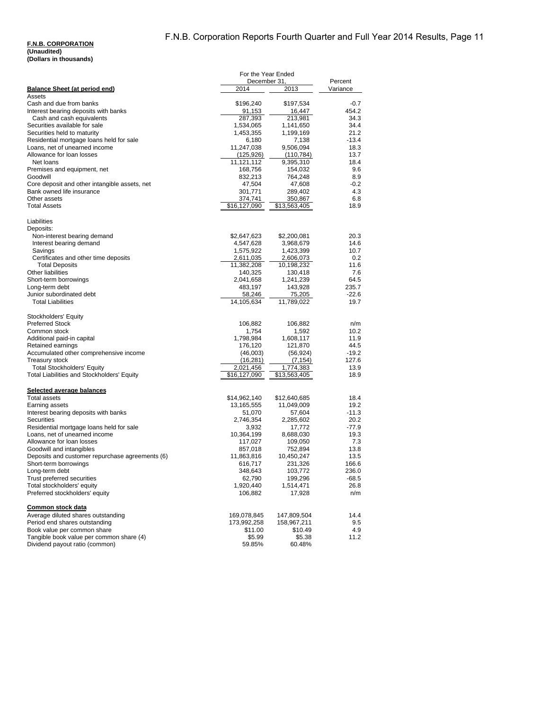|                                                                             | For the Year Ended<br>December 31, |                         | Percent         |
|-----------------------------------------------------------------------------|------------------------------------|-------------------------|-----------------|
| <b>Balance Sheet (at period end)</b>                                        | 2014                               | 2013                    | Variance        |
| Assets                                                                      |                                    |                         |                 |
| Cash and due from banks<br>Interest bearing deposits with banks             | \$196,240<br>91,153                | \$197,534<br>16,447     | -0.7<br>454.2   |
| Cash and cash equivalents                                                   | 287,393                            | 213,981                 | 34.3            |
| Securities available for sale                                               | 1,534,065                          | 1,141,650               | 34.4            |
| Securities held to maturity                                                 | 1,453,355                          | 1,199,169               | 21.2            |
| Residential mortgage loans held for sale                                    | 6,180                              | 7,138                   | $-13.4$         |
| Loans, net of unearned income<br>Allowance for loan losses                  | 11,247,038<br>(125,926)            | 9,506,094<br>(110, 784) | 18.3<br>13.7    |
| Net loans                                                                   | 11,121,112                         | 9,395,310               | 18.4            |
| Premises and equipment, net                                                 | 168,756                            | 154,032                 | 9.6             |
| Goodwill                                                                    | 832,213                            | 764,248                 | 8.9             |
| Core deposit and other intangible assets, net<br>Bank owned life insurance  | 47,504                             | 47,608<br>289,402       | $-0.2$<br>4.3   |
| Other assets                                                                | 301,771<br>374,741                 | 350,867                 | 6.8             |
| <b>Total Assets</b>                                                         | \$16,127,090                       | \$13,563,405            | 18.9            |
| Liabilities                                                                 |                                    |                         |                 |
| Deposits:                                                                   |                                    |                         |                 |
| Non-interest bearing demand                                                 | \$2,647,623                        | \$2,200,081             | 20.3            |
| Interest bearing demand                                                     | 4,547,628                          | 3,968,679               | 14.6            |
| Savings<br>Certificates and other time deposits                             | 1,575,922<br>2,611,035             | 1,423,399<br>2,606,073  | 10.7<br>0.2     |
| <b>Total Deposits</b>                                                       | 11,382,208                         | 10,198,232              | 11.6            |
| Other liabilities                                                           | 140,325                            | 130,418                 | 7.6             |
| Short-term borrowings                                                       | 2,041,658                          | 1,241,239               | 64.5            |
| Long-term debt                                                              | 483,197                            | 143,928                 | 235.7           |
| Junior subordinated debt<br><b>Total Liabilities</b>                        | 58,246<br>14,105,634               | 75,205<br>11,789,022    | $-22.6$<br>19.7 |
|                                                                             |                                    |                         |                 |
| Stockholders' Equity                                                        |                                    |                         |                 |
| <b>Preferred Stock</b>                                                      | 106,882                            | 106,882                 | n/m             |
| Common stock<br>Additional paid-in capital                                  | 1,754<br>1,798,984                 | 1,592<br>1,608,117      | 10.2<br>11.9    |
| Retained earnings                                                           | 176,120                            | 121,870                 | 44.5            |
| Accumulated other comprehensive income                                      | (46,003)                           | (56, 924)               | $-19.2$         |
| <b>Treasury stock</b>                                                       | (16, 281)                          | (7, 154)                | 127.6           |
| <b>Total Stockholders' Equity</b>                                           | 2,021,456                          | 1,774,383               | 13.9            |
| Total Liabilities and Stockholders' Equity                                  | \$16,127,090                       | \$13,563,405            | 18.9            |
| Selected average balances                                                   |                                    |                         |                 |
| <b>Total assets</b>                                                         | \$14,962,140                       | \$12,640,685            | 18.4            |
| Earning assets<br>Interest bearing deposits with banks                      | 13,165,555<br>51,070               | 11,049,009<br>57,604    | 19.2<br>$-11.3$ |
| Securities                                                                  | 2,746,354                          | 2,285,602               | 20.2            |
| Residential mortgage loans held for sale                                    | 3,932                              | 17,772                  | $-77.9$         |
| Loans, net of unearned income                                               | 10,364,199                         | 8,688,030               | 19.3            |
| Allowance for loan losses                                                   | 117,027                            | 109,050                 | 7.3             |
| Goodwill and intangibles<br>Deposits and customer repurchase agreements (6) | 857,018<br>11,863,816              | 752,894<br>10,450,247   | 13.8<br>13.5    |
| Short-term borrowings                                                       | 616,717                            | 231,326                 | 166.6           |
| Long-term debt                                                              | 348,643                            | 103,772                 | 236.0           |
| Trust preferred securities                                                  | 62,790                             | 199,296                 | -68.5           |
| Total stockholders' equity                                                  | 1,920,440                          | 1,514,471               | 26.8            |
| Preferred stockholders' equity                                              | 106,882                            | 17,928                  | n/m             |
| Common stock data                                                           |                                    |                         |                 |
| Average diluted shares outstanding                                          | 169,078,845                        | 147,809,504             | 14.4            |
| Period end shares outstanding<br>Book value per common share                | 173,992,258                        | 158,967,211             | 9.5             |
| Tangible book value per common share (4)                                    | \$11.00<br>\$5.99                  | \$10.49<br>\$5.38       | 4.9<br>11.2     |
| Dividend payout ratio (common)                                              | 59.85%                             | 60.48%                  |                 |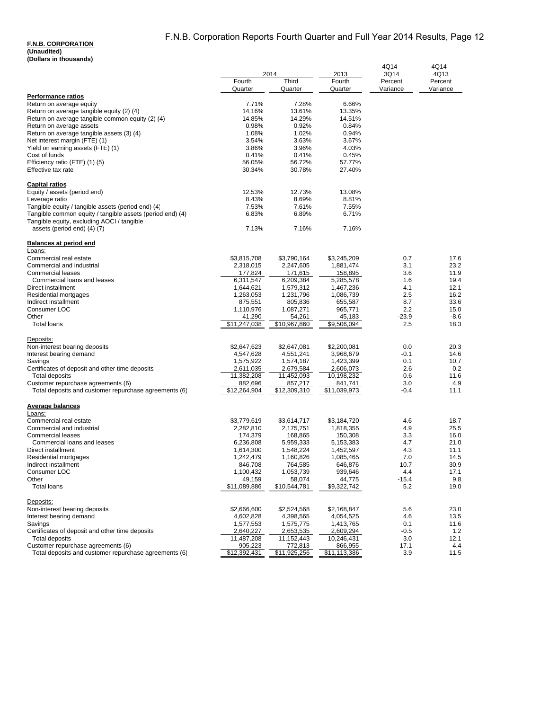| (DUIIAI 5 III LIIUUSAIIUS)                                | 2014                     |                          |                      | 4Q14 -          | 4Q14 -          |  |
|-----------------------------------------------------------|--------------------------|--------------------------|----------------------|-----------------|-----------------|--|
|                                                           | Fourth                   | 2013<br>Third<br>Fourth  |                      | 3Q14<br>Percent | 4Q13<br>Percent |  |
|                                                           | Quarter                  | Quarter                  | Quarter              | Variance        | Variance        |  |
| <b>Performance ratios</b>                                 |                          |                          |                      |                 |                 |  |
| Return on average equity                                  | 7.71%                    | 7.28%                    | 6.66%                |                 |                 |  |
| Return on average tangible equity (2) (4)                 | 14.16%                   | 13.61%                   | 13.35%               |                 |                 |  |
| Return on average tangible common equity (2) (4)          | 14.85%                   | 14.29%                   | 14.51%               |                 |                 |  |
| Return on average assets                                  | 0.98%                    | 0.92%                    | 0.84%                |                 |                 |  |
| Return on average tangible assets (3) (4)                 | 1.08%                    | 1.02%                    | 0.94%                |                 |                 |  |
| Net interest margin (FTE) (1)                             | 3.54%                    | 3.63%                    | 3.67%                |                 |                 |  |
| Yield on earning assets (FTE) (1)                         | 3.86%                    | 3.96%                    | 4.03%                |                 |                 |  |
| Cost of funds                                             | 0.41%                    | 0.41%                    | 0.45%                |                 |                 |  |
| Efficiency ratio (FTE) (1) (5)                            | 56.05%                   | 56.72%                   | 57.77%               |                 |                 |  |
| Effective tax rate                                        | 30.34%                   | 30.78%                   | 27.40%               |                 |                 |  |
| <b>Capital ratios</b>                                     |                          |                          |                      |                 |                 |  |
| Equity / assets (period end)                              | 12.53%                   | 12.73%                   | 13.08%               |                 |                 |  |
| Leverage ratio                                            | 8.43%                    | 8.69%                    | 8.81%                |                 |                 |  |
| Tangible equity / tangible assets (period end) (4)        | 7.53%                    | 7.61%                    | 7.55%                |                 |                 |  |
| Tangible common equity / tangible assets (period end) (4) | 6.83%                    | 6.89%                    | 6.71%                |                 |                 |  |
| Tangible equity, excluding AOCI / tangible                |                          |                          |                      |                 |                 |  |
| assets (period end) (4) (7)                               | 7.13%                    | 7.16%                    | 7.16%                |                 |                 |  |
| <b>Balances at period end</b>                             |                          |                          |                      |                 |                 |  |
| Loans:                                                    |                          |                          |                      |                 |                 |  |
| Commercial real estate                                    | \$3,815,708              | \$3,790,164              | \$3,245,209          | 0.7             | 17.6            |  |
| Commercial and industrial                                 | 2,318,015                | 2,247,605                | 1,881,474            | 3.1             | 23.2            |  |
| <b>Commercial leases</b>                                  | 177,824                  | 171,615                  | 158,895              | 3.6             | 11.9            |  |
| Commercial loans and leases                               | 6,311,547                | 6,209,384                | 5,285,578            | 1.6             | 19.4            |  |
| Direct installment                                        | 1,644,621                | 1,579,312                | 1,467,236            | 4.1             | 12.1            |  |
| Residential mortgages<br>Indirect installment             | 1,263,053<br>875,551     | 1,231,796<br>805,836     | 1,086,739<br>655,587 | 2.5<br>8.7      | 16.2<br>33.6    |  |
| Consumer LOC                                              | 1,110,976                | 1,087,271                | 965,771              | 2.2             | 15.0            |  |
| Other                                                     | 41,290                   | 54.261                   | 45,183               | $-23.9$         | $-8.6$          |  |
| <b>Total loans</b>                                        | \$11,247,038             | \$10,967,860             | \$9,506,094          | 2.5             | 18.3            |  |
|                                                           |                          |                          |                      |                 |                 |  |
| Deposits:<br>Non-interest bearing deposits                |                          |                          | \$2,200,081          | 0.0             | 20.3            |  |
| Interest bearing demand                                   | \$2,647,623<br>4,547,628 | \$2,647,081<br>4,551,241 | 3,968,679            | $-0.1$          | 14.6            |  |
| Savings                                                   | 1,575,922                | 1,574,187                | 1,423,399            | 0.1             | 10.7            |  |
| Certificates of deposit and other time deposits           | 2,611,035                | 2,679,584                | 2,606,073            | $-2.6$          | 0.2             |  |
| Total deposits                                            | 11,382,208               | 11,452,093               | 10,198,232           | $-0.6$          | 11.6            |  |
| Customer repurchase agreements (6)                        | 882,696                  | 857,217                  | 841,741              | 3.0             | 4.9             |  |
| Total deposits and customer repurchase agreements (6)     | \$12,264,904             | \$12,309,310             | \$11,039,973         | $-0.4$          | 11.1            |  |
| Average balances                                          |                          |                          |                      |                 |                 |  |
| Loans:                                                    |                          |                          |                      |                 |                 |  |
| Commercial real estate                                    | \$3,779,619              | \$3,614,717              | \$3,184,720          | 4.6             | 18.7            |  |
| Commercial and industrial                                 | 2,282,810                | 2,175,751                | 1,818,355            | 4.9             | 25.5            |  |
| <b>Commercial leases</b>                                  | 174,379                  | 168,865                  | 150,308              | 3.3             | 16.0            |  |
| Commercial loans and leases                               | 6,236,808                | 5,959,333                | 5,153,383            | 4.7             | 21.0            |  |
| Direct installment                                        | 1,614,300                | 1,548,224                | 1,452,597            | 4.3             | 11.1            |  |
| Residential mortgages                                     | 1,242,479                | 1,160,826                | 1,085,465            | 7.0             | 14.5            |  |
| Indirect installment                                      | 846,708                  | 764,585                  | 646,876              | 10.7            | 30.9            |  |
| Consumer LOC                                              | 1,100,432                | 1,053,739                | 939,646              | 4.4             | 17.1            |  |
| Other                                                     | 49,159                   | 58,074                   | 44,775               | $-15.4$         | 9.8<br>19.0     |  |
| <b>Total loans</b>                                        | \$11,089,886             | \$10,544,781             | \$9,322,742          | 5.2             |                 |  |
| Deposits:                                                 |                          |                          |                      |                 |                 |  |
| Non-interest bearing deposits                             | \$2,666,600              | \$2,524,568              | \$2,168,847          | 5.6             | 23.0            |  |
| Interest bearing demand                                   | 4,602,828                | 4,398,565                | 4,054,525            | 4.6             | 13.5            |  |
| Savings                                                   | 1,577,553                | 1,575,775                | 1,413,765            | 0.1             | 11.6            |  |
| Certificates of deposit and other time deposits           | 2,640,227                | 2,653,535                | 2,609,294            | $-0.5$          | $1.2$           |  |
| Total deposits                                            | 11,487,208               | 11,152,443               | 10,246,431           | 3.0             | 12.1            |  |
| Customer repurchase agreements (6)                        | 905,223                  | 772,813                  | 866,955              | 17.1            | 4.4             |  |
| Total deposits and customer repurchase agreements (6)     | \$12,392,431             | \$11,925,256             | \$11,113,386         | 3.9             | 11.5            |  |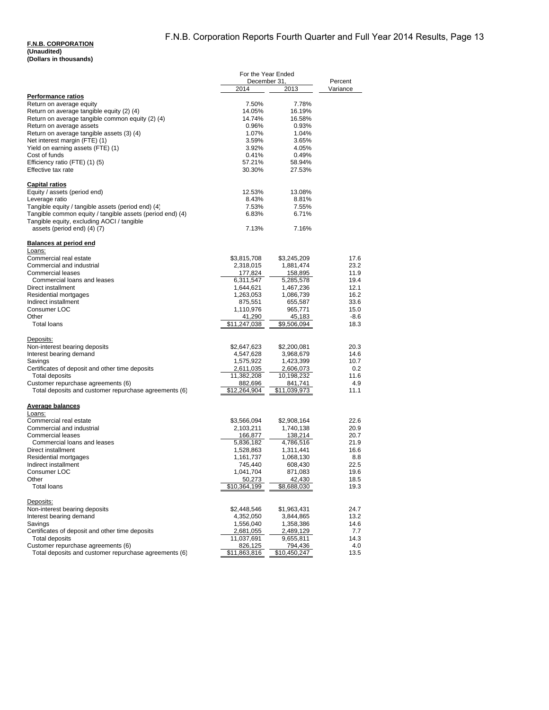|                                                           | For the Year Ended   |                  |                     |
|-----------------------------------------------------------|----------------------|------------------|---------------------|
|                                                           | December 31,<br>2014 | 2013             | Percent<br>Variance |
| <b>Performance ratios</b>                                 |                      |                  |                     |
| Return on average equity                                  | 7.50%                | 7.78%            |                     |
| Return on average tangible equity (2) (4)                 | 14.05%               | 16.19%           |                     |
| Return on average tangible common equity (2) (4)          | 14.74%               | 16.58%           |                     |
| Return on average assets                                  | 0.96%                | 0.93%            |                     |
| Return on average tangible assets (3) (4)                 | 1.07%                | 1.04%            |                     |
| Net interest margin (FTE) (1)                             | 3.59%                | 3.65%            |                     |
| Yield on earning assets (FTE) (1)                         | 3.92%                | 4.05%            |                     |
| Cost of funds                                             | 0.41%                | 0.49%            |                     |
| Efficiency ratio (FTE) (1) (5)<br>Effective tax rate      | 57.21%<br>30.30%     | 58.94%<br>27.53% |                     |
|                                                           |                      |                  |                     |
| <b>Capital ratios</b>                                     |                      | 13.08%           |                     |
| Equity / assets (period end)<br>Leverage ratio            | 12.53%               | 8.81%            |                     |
| Tangible equity / tangible assets (period end) (4)        | 8.43%<br>7.53%       | 7.55%            |                     |
| Tangible common equity / tangible assets (period end) (4) | 6.83%                | 6.71%            |                     |
| Tangible equity, excluding AOCI / tangible                |                      |                  |                     |
| assets (period end) (4) (7)                               | 7.13%                | 7.16%            |                     |
| Balances at period end                                    |                      |                  |                     |
| Loans:<br>Commercial real estate                          | \$3,815,708          | \$3,245,209      | 17.6                |
| Commercial and industrial                                 | 2,318,015            | 1,881,474        | 23.2                |
| <b>Commercial leases</b>                                  | 177,824              | 158,895          | 11.9                |
| Commercial loans and leases                               | 6,311,547            | 5,285,578        | 19.4                |
| Direct installment                                        | 1,644,621            | 1,467,236        | 12.1                |
| Residential mortgages                                     | 1,263,053            | 1,086,739        | 16.2                |
| Indirect installment                                      | 875,551              | 655,587          | 33.6                |
| Consumer LOC                                              | 1,110,976            | 965,771          | 15.0                |
| Other                                                     | 41,290               | 45,183           | -8.6                |
| <b>Total loans</b>                                        | \$11,247,038         | \$9,506,094      | 18.3                |
| Deposits:                                                 |                      |                  |                     |
| Non-interest bearing deposits                             | \$2,647,623          | \$2,200,081      | 20.3                |
| Interest bearing demand                                   | 4,547,628            | 3,968,679        | 14.6                |
| Savings                                                   | 1,575,922            | 1,423,399        | 10.7                |
| Certificates of deposit and other time deposits           | 2,611,035            | 2,606,073        | 0.2                 |
| <b>Total deposits</b>                                     | 11,382,208           | 10,198,232       | 11.6                |
| Customer repurchase agreements (6)                        | 882,696              | 841,741          | 4.9                 |
| Total deposits and customer repurchase agreements (6)     | \$12,264,904         | \$11,039,973     | 11.1                |
| <b>Average balances</b>                                   |                      |                  |                     |
| Loans:<br>Commercial real estate                          | \$3,566,094          | \$2,908,164      | 22.6                |
| Commercial and industrial                                 | 2,103,211            | 1,740,138        | 20.9                |
| <b>Commercial leases</b>                                  | 166,877              | 138,214          | 20.7                |
| Commercial loans and leases                               | 5,836,182            | 4,786,516        | 21.9                |
| Direct installment                                        | 1,528,863            | 1,311,441        | 16.6                |
| Residential mortgages                                     | 1,161,737            | 1,068,130        | 8.8                 |
| Indirect installment                                      | 745,440              | 608,430          | 22.5                |
| Consumer LOC                                              | 1,041,704            | 871,083          | 19.6                |
| Other                                                     | 50,273               | 42,430           | 18.5                |
| <b>Total loans</b>                                        | \$10,364,199         | \$8,688,030      | 19.3                |
| Deposits:                                                 |                      |                  |                     |
| Non-interest bearing deposits                             | \$2,448,546          | \$1,963,431      | 24.7                |
| Interest bearing demand                                   | 4,352,050            | 3,844,865        | 13.2                |
| Savings                                                   | 1,556,040            | 1,358,386        | 14.6                |
| Certificates of deposit and other time deposits           | 2,681,055            | 2,489,129        | 7.7                 |
| <b>Total deposits</b>                                     | 11,037,691           | 9,655,811        | 14.3                |
| Customer repurchase agreements (6)                        | 826,125              | 794,436          | 4.0                 |
| Total deposits and customer repurchase agreements (6)     | \$11,863,816         | \$10,450,247     | 13.5                |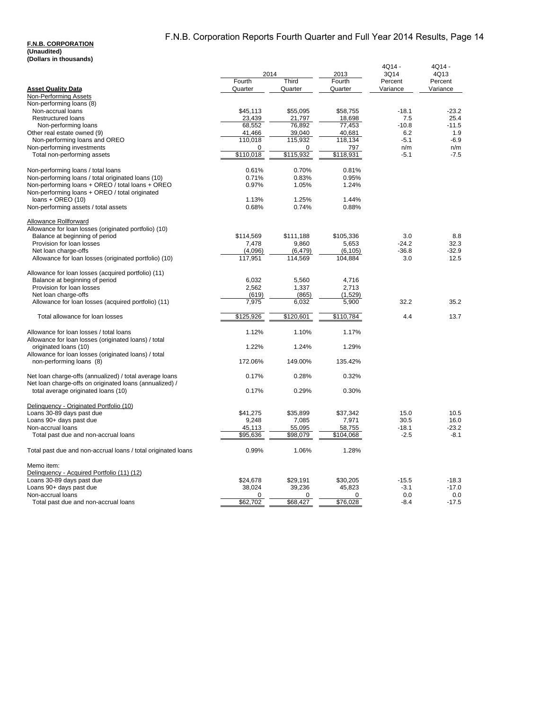|                                                                                                                    | 2014<br>2013       |                    |                     | 4Q14 -<br>3Q14 | 4Q14 -<br>4Q13 |  |
|--------------------------------------------------------------------------------------------------------------------|--------------------|--------------------|---------------------|----------------|----------------|--|
|                                                                                                                    | Fourth             | Third              | Fourth              | Percent        | Percent        |  |
| <b>Asset Quality Data</b>                                                                                          | Quarter            | Quarter            | Quarter             | Variance       | Variance       |  |
| Non-Performing Assets<br>Non-performing loans (8)                                                                  |                    |                    |                     |                |                |  |
| Non-accrual loans                                                                                                  | \$45.113           | \$55.095           | \$58.755            | $-18.1$        | $-23.2$        |  |
| <b>Restructured loans</b>                                                                                          | 23,439             | 21,797             | 18,698              | 7.5            | 25.4           |  |
| Non-performing loans                                                                                               | 68,552             | 76.892             | 77.453              | $-10.8$        | $-11.5$        |  |
| Other real estate owned (9)                                                                                        | 41,466             | 39,040             | 40,681              | 6.2            | 1.9            |  |
| Non-performing loans and OREO                                                                                      | 110,018            | 115,932            | 118,134             | $-5.1$         | $-6.9$         |  |
| Non-performing investments                                                                                         | 0                  | 0                  | 797                 | n/m            | n/m            |  |
| Total non-performing assets                                                                                        | \$110,018          | \$115,932          | \$118,931           | $-5.1$         | $-7.5$         |  |
| Non-performing loans / total loans                                                                                 | 0.61%              | 0.70%              | 0.81%               |                |                |  |
| Non-performing loans / total originated loans (10)                                                                 | 0.71%              | 0.83%              | 0.95%               |                |                |  |
| Non-performing loans + OREO / total loans + OREO<br>Non-performing loans + OREO / total originated                 | 0.97%              | 1.05%              | 1.24%               |                |                |  |
| $loans + OREO(10)$                                                                                                 | 1.13%              | 1.25%              | 1.44%               |                |                |  |
| Non-performing assets / total assets                                                                               | 0.68%              | 0.74%              | 0.88%               |                |                |  |
| <b>Allowance Rollforward</b>                                                                                       |                    |                    |                     |                |                |  |
| Allowance for loan losses (originated portfolio) (10)                                                              |                    |                    |                     | 3.0            |                |  |
| Balance at beginning of period<br>Provision for loan losses                                                        | \$114,569<br>7,478 | \$111,188<br>9,860 | \$105,336<br>5,653  | $-24.2$        | 8.8<br>32.3    |  |
| Net loan charge-offs                                                                                               | (4,096)            | (6, 479)           |                     | $-36.8$        | $-32.9$        |  |
| Allowance for loan losses (originated portfolio) (10)                                                              | 117.951            | 114.569            | (6, 105)<br>104.884 | 3.0            | 12.5           |  |
|                                                                                                                    |                    |                    |                     |                |                |  |
| Allowance for loan losses (acquired portfolio) (11)                                                                |                    |                    |                     |                |                |  |
| Balance at beginning of period                                                                                     | 6,032              | 5,560              | 4,716               |                |                |  |
| Provision for loan losses                                                                                          | 2,562              | 1,337              | 2,713               |                |                |  |
| Net loan charge-offs<br>Allowance for loan losses (acquired portfolio) (11)                                        | (619)<br>7,975     | (865)<br>6,032     | (1,529)<br>5,900    | 32.2           | 35.2           |  |
|                                                                                                                    |                    |                    |                     |                |                |  |
| Total allowance for loan losses                                                                                    | \$125,926          | \$120,601          | \$110,784           | 4.4            | 13.7           |  |
| Allowance for loan losses / total loans                                                                            | 1.12%              | 1.10%              | 1.17%               |                |                |  |
| Allowance for loan losses (originated loans) / total                                                               |                    |                    |                     |                |                |  |
| originated loans (10)                                                                                              | 1.22%              | 1.24%              | 1.29%               |                |                |  |
| Allowance for loan losses (originated loans) / total                                                               |                    |                    |                     |                |                |  |
| non-performing loans (8)                                                                                           | 172.06%            | 149.00%            | 135.42%             |                |                |  |
| Net loan charge-offs (annualized) / total average loans<br>Net loan charge-offs on originated loans (annualized) / | 0.17%              | 0.28%              | 0.32%               |                |                |  |
| total average originated loans (10)                                                                                | 0.17%              | 0.29%              | 0.30%               |                |                |  |
| Delinquency - Originated Portfolio (10)                                                                            |                    |                    |                     |                |                |  |
| Loans 30-89 days past due                                                                                          | \$41,275           | \$35,899           | \$37,342            | 15.0           | 10.5           |  |
| Loans 90+ days past due                                                                                            | 9,248              | 7,085              | 7,971               | 30.5           | 16.0           |  |
| Non-accrual loans                                                                                                  | 45,113             | 55,095             | 58,755              | $-18.1$        | -23.2          |  |
| Total past due and non-accrual loans                                                                               | \$95,636           | \$98,079           | \$104,068           | $-2.5$         | $-8.1$         |  |
| Total past due and non-accrual loans / total originated loans                                                      | 0.99%              | 1.06%              | 1.28%               |                |                |  |
| Memo item:                                                                                                         |                    |                    |                     |                |                |  |
| Delinguency - Acquired Portfolio (11) (12)                                                                         |                    |                    |                     |                |                |  |
| Loans 30-89 days past due                                                                                          | \$24,678           | \$29,191           | \$30,205            | $-15.5$        | $-18.3$        |  |
| Loans 90+ days past due                                                                                            | 38,024             | 39,236             | 45.823              | $-3.1$         | $-17.0$        |  |
| Non-accrual loans                                                                                                  | $\Omega$           | 0                  | 0                   | 0.0            | 0.0            |  |
| Total past due and non-accrual loans                                                                               | \$62,702           | \$68,427           | \$76,028            | $-8.4$         | $-17.5$        |  |
|                                                                                                                    |                    |                    |                     |                |                |  |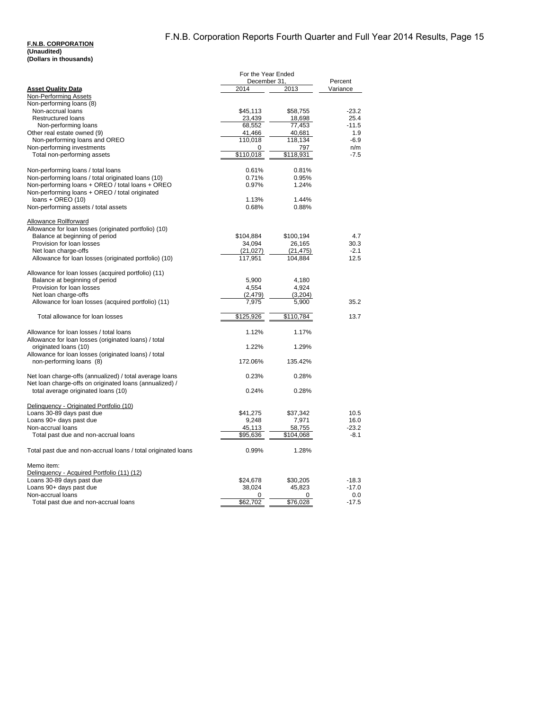## **F.N.B. CORPORATION (Unaudited)**

|  |  | (Dollars in thousands) |
|--|--|------------------------|
|--|--|------------------------|

|                                                                               | For the Year Ended   |                      |                |
|-------------------------------------------------------------------------------|----------------------|----------------------|----------------|
|                                                                               | December 31,         |                      | Percent        |
| <b>Asset Quality Data</b>                                                     | 2014                 | 2013                 | Variance       |
| Non-Performing Assets                                                         |                      |                      |                |
| Non-performing loans (8)<br>Non-accrual loans                                 | \$45,113             | \$58,755             | $-23.2$        |
| Restructured loans                                                            | 23,439               | 18,698               | 25.4           |
| Non-performing loans                                                          | 68,552               | 77,453               | $-11.5$        |
| Other real estate owned (9)                                                   | 41,466               | 40,681               | 1.9            |
| Non-performing loans and OREO                                                 | 110,018              | 118,134              | $-6.9$         |
| Non-performing investments                                                    | 0                    | 797                  | n/m            |
| Total non-performing assets                                                   | \$110,018            | \$118,931            | $-7.5$         |
|                                                                               |                      |                      |                |
| Non-performing loans / total loans                                            | 0.61%                | 0.81%                |                |
| Non-performing loans / total originated loans (10)                            | 0.71%                | 0.95%                |                |
| Non-performing loans + OREO / total loans + OREO                              | 0.97%                | 1.24%                |                |
| Non-performing loans + OREO / total originated                                |                      |                      |                |
| $loans + OREO(10)$                                                            | 1.13%                | 1.44%                |                |
| Non-performing assets / total assets                                          | 0.68%                | 0.88%                |                |
|                                                                               |                      |                      |                |
| <b>Allowance Rollforward</b>                                                  |                      |                      |                |
| Allowance for loan losses (originated portfolio) (10)                         |                      |                      |                |
| Balance at beginning of period                                                | \$104,884            | \$100,194            | 4.7            |
| Provision for loan losses                                                     | 34,094               | 26,165               | 30.3           |
| Net loan charge-offs<br>Allowance for loan losses (originated portfolio) (10) | (21, 027)<br>117,951 | (21, 475)<br>104,884 | $-2.1$<br>12.5 |
|                                                                               |                      |                      |                |
| Allowance for loan losses (acquired portfolio) (11)                           |                      |                      |                |
| Balance at beginning of period                                                | 5,900                | 4,180                |                |
| Provision for loan losses                                                     | 4,554                | 4,924                |                |
| Net loan charge-offs                                                          | (2, 479)             | (3,204)              |                |
| Allowance for loan losses (acquired portfolio) (11)                           | 7,975                | 5,900                | 35.2           |
|                                                                               |                      |                      |                |
| Total allowance for loan losses                                               | \$125,926            | \$110,784            | 13.7           |
|                                                                               |                      |                      |                |
| Allowance for loan losses / total loans                                       | 1.12%                | 1.17%                |                |
| Allowance for loan losses (originated loans) / total                          |                      |                      |                |
| originated loans (10)                                                         | 1.22%                | 1.29%                |                |
| Allowance for loan losses (originated loans) / total                          |                      |                      |                |
| non-performing loans (8)                                                      | 172.06%              | 135.42%              |                |
|                                                                               |                      |                      |                |
| Net loan charge-offs (annualized) / total average loans                       | 0.23%                | 0.28%                |                |
| Net loan charge-offs on originated loans (annualized) /                       |                      |                      |                |
| total average originated loans (10)                                           | 0.24%                | 0.28%                |                |
| Delinquency - Originated Portfolio (10)                                       |                      |                      |                |
| Loans 30-89 days past due                                                     | \$41,275             | \$37,342             | 10.5           |
| Loans 90+ days past due                                                       | 9,248                | 7,971                | 16.0           |
| Non-accrual loans                                                             | 45,113               | 58,755               | $-23.2$        |
| Total past due and non-accrual loans                                          | \$95,636             | \$104,068            | $-8.1$         |
|                                                                               |                      |                      |                |
| Total past due and non-accrual loans / total originated loans                 | 0.99%                | 1.28%                |                |
|                                                                               |                      |                      |                |
| Memo item:                                                                    |                      |                      |                |
| Delinquency - Acquired Portfolio (11) (12)                                    |                      |                      |                |
| Loans 30-89 days past due                                                     | \$24,678             | \$30,205             | $-18.3$        |
| Loans 90+ days past due                                                       | 38,024               | 45,823               | $-17.0$        |
| Non-accrual loans                                                             | 0                    | 0                    | 0.0            |
| Total past due and non-accrual loans                                          | \$62,702             | \$76,028             | $-17.5$        |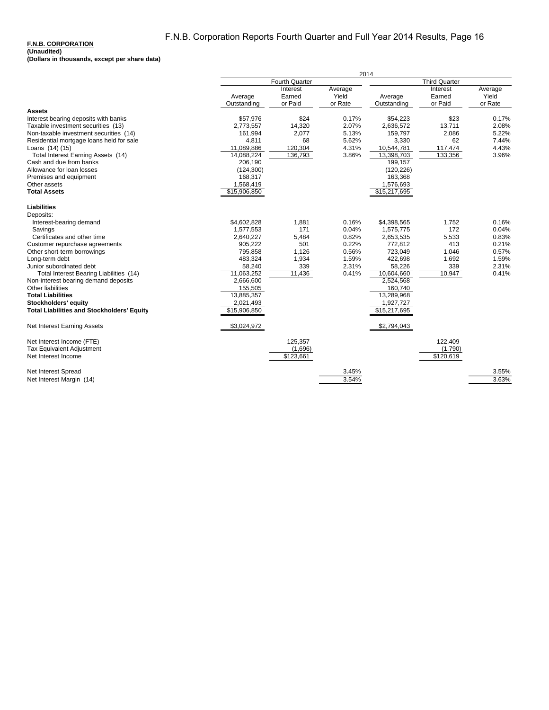# F.N.B. Corporation Reports Fourth Quarter and Full Year 2014 Results, Page 16

### **F.N.B. CORPORATION**

| Fourth Quarter<br><b>Third Quarter</b><br>Interest<br>Average<br>Interest<br>Average<br>Yield<br>Yield<br>Average<br>Earned<br>Average<br>Earned<br>or Paid<br>or Paid<br>or Rate<br>or Rate<br>Outstanding<br>Outstanding<br><b>Assets</b><br>\$24<br>\$57,976<br>0.17%<br>\$54,223<br>\$23<br>0.17%<br>Interest bearing deposits with banks<br>2.07%<br>2.08%<br>Taxable investment securities (13)<br>2,773,557<br>14,320<br>2,636,572<br>13,711<br>Non-taxable investment securities (14)<br>161,994<br>2,077<br>5.13%<br>159,797<br>2,086<br>5.22%<br>68<br>5.62%<br>4,811<br>3,330<br>62<br>7.44%<br>Residential mortgage loans held for sale<br>11,089,886<br>120,304<br>4.31%<br>4.43%<br>Loans (14) (15)<br>10,544,781<br>117,474<br>14,088,224<br>136,793<br>13,398,703<br>133,356<br>Total Interest Earning Assets (14)<br>3.86%<br>3.96%<br>Cash and due from banks<br>206,190<br>199,157<br>Allowance for loan losses<br>(120, 226)<br>(124, 300)<br>163,368<br>Premises and equipment<br>168,317<br>Other assets<br>1,568,419<br>1,576,693<br>\$15,217,695<br><b>Total Assets</b><br>\$15,906,850<br><b>Liabilities</b><br>Deposits:<br>\$4,602,828<br>1,881<br>0.16%<br>\$4,398,565<br>1,752<br>Interest-bearing demand<br>0.16%<br>171<br>172<br>1,577,553<br>0.04%<br>1,575,775<br>0.04%<br>Savings<br>0.82%<br>5,533<br>Certificates and other time<br>2,640,227<br>5,484<br>2,653,535<br>0.83%<br>501<br>0.22%<br>413<br>Customer repurchase agreements<br>905,222<br>772,812<br>0.21%<br>1,126<br>0.56%<br>Other short-term borrowings<br>795,858<br>723,049<br>1,046<br>0.57%<br>1,934<br>1.59%<br>1,692<br>1.59%<br>483,324<br>422,698<br>Long-term debt<br>2.31%<br>339<br>2.31%<br>Junior subordinated debt<br>58,240<br>339<br>58,226<br>11,063,252<br>11,436<br>10,947<br>Total Interest Bearing Liabilities (14)<br>0.41%<br>10,604,660<br>0.41%<br>2,524,568<br>Non-interest bearing demand deposits<br>2,666,600<br>Other liabilities<br>160,740<br>155,505<br><b>Total Liabilities</b><br>13,885,357<br>13,289,968<br>Stockholders' equity<br>2,021,493<br>1,927,727<br><b>Total Liabilities and Stockholders' Equity</b><br>\$15,217,695<br>\$15,906,850<br>\$3,024,972<br>\$2,794,043<br>Net Interest Earning Assets<br>Net Interest Income (FTE)<br>125,357<br>122,409<br>Tax Equivalent Adjustment<br>(1,696)<br>(1,790)<br>\$123,661<br>\$120,619<br>Net Interest Income<br>Net Interest Spread<br>3.45%<br>3.55%<br>3.54%<br>3.63%<br>Net Interest Margin (14) |  | 2014 |  |  |  |  |
|----------------------------------------------------------------------------------------------------------------------------------------------------------------------------------------------------------------------------------------------------------------------------------------------------------------------------------------------------------------------------------------------------------------------------------------------------------------------------------------------------------------------------------------------------------------------------------------------------------------------------------------------------------------------------------------------------------------------------------------------------------------------------------------------------------------------------------------------------------------------------------------------------------------------------------------------------------------------------------------------------------------------------------------------------------------------------------------------------------------------------------------------------------------------------------------------------------------------------------------------------------------------------------------------------------------------------------------------------------------------------------------------------------------------------------------------------------------------------------------------------------------------------------------------------------------------------------------------------------------------------------------------------------------------------------------------------------------------------------------------------------------------------------------------------------------------------------------------------------------------------------------------------------------------------------------------------------------------------------------------------------------------------------------------------------------------------------------------------------------------------------------------------------------------------------------------------------------------------------------------------------------------------------------------------------------------------------------------------------------------------------------------------------------------------------------------------------------------------------------------------|--|------|--|--|--|--|
|                                                                                                                                                                                                                                                                                                                                                                                                                                                                                                                                                                                                                                                                                                                                                                                                                                                                                                                                                                                                                                                                                                                                                                                                                                                                                                                                                                                                                                                                                                                                                                                                                                                                                                                                                                                                                                                                                                                                                                                                                                                                                                                                                                                                                                                                                                                                                                                                                                                                                                    |  |      |  |  |  |  |
|                                                                                                                                                                                                                                                                                                                                                                                                                                                                                                                                                                                                                                                                                                                                                                                                                                                                                                                                                                                                                                                                                                                                                                                                                                                                                                                                                                                                                                                                                                                                                                                                                                                                                                                                                                                                                                                                                                                                                                                                                                                                                                                                                                                                                                                                                                                                                                                                                                                                                                    |  |      |  |  |  |  |
|                                                                                                                                                                                                                                                                                                                                                                                                                                                                                                                                                                                                                                                                                                                                                                                                                                                                                                                                                                                                                                                                                                                                                                                                                                                                                                                                                                                                                                                                                                                                                                                                                                                                                                                                                                                                                                                                                                                                                                                                                                                                                                                                                                                                                                                                                                                                                                                                                                                                                                    |  |      |  |  |  |  |
|                                                                                                                                                                                                                                                                                                                                                                                                                                                                                                                                                                                                                                                                                                                                                                                                                                                                                                                                                                                                                                                                                                                                                                                                                                                                                                                                                                                                                                                                                                                                                                                                                                                                                                                                                                                                                                                                                                                                                                                                                                                                                                                                                                                                                                                                                                                                                                                                                                                                                                    |  |      |  |  |  |  |
|                                                                                                                                                                                                                                                                                                                                                                                                                                                                                                                                                                                                                                                                                                                                                                                                                                                                                                                                                                                                                                                                                                                                                                                                                                                                                                                                                                                                                                                                                                                                                                                                                                                                                                                                                                                                                                                                                                                                                                                                                                                                                                                                                                                                                                                                                                                                                                                                                                                                                                    |  |      |  |  |  |  |
|                                                                                                                                                                                                                                                                                                                                                                                                                                                                                                                                                                                                                                                                                                                                                                                                                                                                                                                                                                                                                                                                                                                                                                                                                                                                                                                                                                                                                                                                                                                                                                                                                                                                                                                                                                                                                                                                                                                                                                                                                                                                                                                                                                                                                                                                                                                                                                                                                                                                                                    |  |      |  |  |  |  |
|                                                                                                                                                                                                                                                                                                                                                                                                                                                                                                                                                                                                                                                                                                                                                                                                                                                                                                                                                                                                                                                                                                                                                                                                                                                                                                                                                                                                                                                                                                                                                                                                                                                                                                                                                                                                                                                                                                                                                                                                                                                                                                                                                                                                                                                                                                                                                                                                                                                                                                    |  |      |  |  |  |  |
|                                                                                                                                                                                                                                                                                                                                                                                                                                                                                                                                                                                                                                                                                                                                                                                                                                                                                                                                                                                                                                                                                                                                                                                                                                                                                                                                                                                                                                                                                                                                                                                                                                                                                                                                                                                                                                                                                                                                                                                                                                                                                                                                                                                                                                                                                                                                                                                                                                                                                                    |  |      |  |  |  |  |
|                                                                                                                                                                                                                                                                                                                                                                                                                                                                                                                                                                                                                                                                                                                                                                                                                                                                                                                                                                                                                                                                                                                                                                                                                                                                                                                                                                                                                                                                                                                                                                                                                                                                                                                                                                                                                                                                                                                                                                                                                                                                                                                                                                                                                                                                                                                                                                                                                                                                                                    |  |      |  |  |  |  |
|                                                                                                                                                                                                                                                                                                                                                                                                                                                                                                                                                                                                                                                                                                                                                                                                                                                                                                                                                                                                                                                                                                                                                                                                                                                                                                                                                                                                                                                                                                                                                                                                                                                                                                                                                                                                                                                                                                                                                                                                                                                                                                                                                                                                                                                                                                                                                                                                                                                                                                    |  |      |  |  |  |  |
|                                                                                                                                                                                                                                                                                                                                                                                                                                                                                                                                                                                                                                                                                                                                                                                                                                                                                                                                                                                                                                                                                                                                                                                                                                                                                                                                                                                                                                                                                                                                                                                                                                                                                                                                                                                                                                                                                                                                                                                                                                                                                                                                                                                                                                                                                                                                                                                                                                                                                                    |  |      |  |  |  |  |
|                                                                                                                                                                                                                                                                                                                                                                                                                                                                                                                                                                                                                                                                                                                                                                                                                                                                                                                                                                                                                                                                                                                                                                                                                                                                                                                                                                                                                                                                                                                                                                                                                                                                                                                                                                                                                                                                                                                                                                                                                                                                                                                                                                                                                                                                                                                                                                                                                                                                                                    |  |      |  |  |  |  |
|                                                                                                                                                                                                                                                                                                                                                                                                                                                                                                                                                                                                                                                                                                                                                                                                                                                                                                                                                                                                                                                                                                                                                                                                                                                                                                                                                                                                                                                                                                                                                                                                                                                                                                                                                                                                                                                                                                                                                                                                                                                                                                                                                                                                                                                                                                                                                                                                                                                                                                    |  |      |  |  |  |  |
|                                                                                                                                                                                                                                                                                                                                                                                                                                                                                                                                                                                                                                                                                                                                                                                                                                                                                                                                                                                                                                                                                                                                                                                                                                                                                                                                                                                                                                                                                                                                                                                                                                                                                                                                                                                                                                                                                                                                                                                                                                                                                                                                                                                                                                                                                                                                                                                                                                                                                                    |  |      |  |  |  |  |
|                                                                                                                                                                                                                                                                                                                                                                                                                                                                                                                                                                                                                                                                                                                                                                                                                                                                                                                                                                                                                                                                                                                                                                                                                                                                                                                                                                                                                                                                                                                                                                                                                                                                                                                                                                                                                                                                                                                                                                                                                                                                                                                                                                                                                                                                                                                                                                                                                                                                                                    |  |      |  |  |  |  |
|                                                                                                                                                                                                                                                                                                                                                                                                                                                                                                                                                                                                                                                                                                                                                                                                                                                                                                                                                                                                                                                                                                                                                                                                                                                                                                                                                                                                                                                                                                                                                                                                                                                                                                                                                                                                                                                                                                                                                                                                                                                                                                                                                                                                                                                                                                                                                                                                                                                                                                    |  |      |  |  |  |  |
|                                                                                                                                                                                                                                                                                                                                                                                                                                                                                                                                                                                                                                                                                                                                                                                                                                                                                                                                                                                                                                                                                                                                                                                                                                                                                                                                                                                                                                                                                                                                                                                                                                                                                                                                                                                                                                                                                                                                                                                                                                                                                                                                                                                                                                                                                                                                                                                                                                                                                                    |  |      |  |  |  |  |
|                                                                                                                                                                                                                                                                                                                                                                                                                                                                                                                                                                                                                                                                                                                                                                                                                                                                                                                                                                                                                                                                                                                                                                                                                                                                                                                                                                                                                                                                                                                                                                                                                                                                                                                                                                                                                                                                                                                                                                                                                                                                                                                                                                                                                                                                                                                                                                                                                                                                                                    |  |      |  |  |  |  |
|                                                                                                                                                                                                                                                                                                                                                                                                                                                                                                                                                                                                                                                                                                                                                                                                                                                                                                                                                                                                                                                                                                                                                                                                                                                                                                                                                                                                                                                                                                                                                                                                                                                                                                                                                                                                                                                                                                                                                                                                                                                                                                                                                                                                                                                                                                                                                                                                                                                                                                    |  |      |  |  |  |  |
|                                                                                                                                                                                                                                                                                                                                                                                                                                                                                                                                                                                                                                                                                                                                                                                                                                                                                                                                                                                                                                                                                                                                                                                                                                                                                                                                                                                                                                                                                                                                                                                                                                                                                                                                                                                                                                                                                                                                                                                                                                                                                                                                                                                                                                                                                                                                                                                                                                                                                                    |  |      |  |  |  |  |
|                                                                                                                                                                                                                                                                                                                                                                                                                                                                                                                                                                                                                                                                                                                                                                                                                                                                                                                                                                                                                                                                                                                                                                                                                                                                                                                                                                                                                                                                                                                                                                                                                                                                                                                                                                                                                                                                                                                                                                                                                                                                                                                                                                                                                                                                                                                                                                                                                                                                                                    |  |      |  |  |  |  |
|                                                                                                                                                                                                                                                                                                                                                                                                                                                                                                                                                                                                                                                                                                                                                                                                                                                                                                                                                                                                                                                                                                                                                                                                                                                                                                                                                                                                                                                                                                                                                                                                                                                                                                                                                                                                                                                                                                                                                                                                                                                                                                                                                                                                                                                                                                                                                                                                                                                                                                    |  |      |  |  |  |  |
|                                                                                                                                                                                                                                                                                                                                                                                                                                                                                                                                                                                                                                                                                                                                                                                                                                                                                                                                                                                                                                                                                                                                                                                                                                                                                                                                                                                                                                                                                                                                                                                                                                                                                                                                                                                                                                                                                                                                                                                                                                                                                                                                                                                                                                                                                                                                                                                                                                                                                                    |  |      |  |  |  |  |
|                                                                                                                                                                                                                                                                                                                                                                                                                                                                                                                                                                                                                                                                                                                                                                                                                                                                                                                                                                                                                                                                                                                                                                                                                                                                                                                                                                                                                                                                                                                                                                                                                                                                                                                                                                                                                                                                                                                                                                                                                                                                                                                                                                                                                                                                                                                                                                                                                                                                                                    |  |      |  |  |  |  |
|                                                                                                                                                                                                                                                                                                                                                                                                                                                                                                                                                                                                                                                                                                                                                                                                                                                                                                                                                                                                                                                                                                                                                                                                                                                                                                                                                                                                                                                                                                                                                                                                                                                                                                                                                                                                                                                                                                                                                                                                                                                                                                                                                                                                                                                                                                                                                                                                                                                                                                    |  |      |  |  |  |  |
|                                                                                                                                                                                                                                                                                                                                                                                                                                                                                                                                                                                                                                                                                                                                                                                                                                                                                                                                                                                                                                                                                                                                                                                                                                                                                                                                                                                                                                                                                                                                                                                                                                                                                                                                                                                                                                                                                                                                                                                                                                                                                                                                                                                                                                                                                                                                                                                                                                                                                                    |  |      |  |  |  |  |
|                                                                                                                                                                                                                                                                                                                                                                                                                                                                                                                                                                                                                                                                                                                                                                                                                                                                                                                                                                                                                                                                                                                                                                                                                                                                                                                                                                                                                                                                                                                                                                                                                                                                                                                                                                                                                                                                                                                                                                                                                                                                                                                                                                                                                                                                                                                                                                                                                                                                                                    |  |      |  |  |  |  |
|                                                                                                                                                                                                                                                                                                                                                                                                                                                                                                                                                                                                                                                                                                                                                                                                                                                                                                                                                                                                                                                                                                                                                                                                                                                                                                                                                                                                                                                                                                                                                                                                                                                                                                                                                                                                                                                                                                                                                                                                                                                                                                                                                                                                                                                                                                                                                                                                                                                                                                    |  |      |  |  |  |  |
|                                                                                                                                                                                                                                                                                                                                                                                                                                                                                                                                                                                                                                                                                                                                                                                                                                                                                                                                                                                                                                                                                                                                                                                                                                                                                                                                                                                                                                                                                                                                                                                                                                                                                                                                                                                                                                                                                                                                                                                                                                                                                                                                                                                                                                                                                                                                                                                                                                                                                                    |  |      |  |  |  |  |
|                                                                                                                                                                                                                                                                                                                                                                                                                                                                                                                                                                                                                                                                                                                                                                                                                                                                                                                                                                                                                                                                                                                                                                                                                                                                                                                                                                                                                                                                                                                                                                                                                                                                                                                                                                                                                                                                                                                                                                                                                                                                                                                                                                                                                                                                                                                                                                                                                                                                                                    |  |      |  |  |  |  |
|                                                                                                                                                                                                                                                                                                                                                                                                                                                                                                                                                                                                                                                                                                                                                                                                                                                                                                                                                                                                                                                                                                                                                                                                                                                                                                                                                                                                                                                                                                                                                                                                                                                                                                                                                                                                                                                                                                                                                                                                                                                                                                                                                                                                                                                                                                                                                                                                                                                                                                    |  |      |  |  |  |  |
|                                                                                                                                                                                                                                                                                                                                                                                                                                                                                                                                                                                                                                                                                                                                                                                                                                                                                                                                                                                                                                                                                                                                                                                                                                                                                                                                                                                                                                                                                                                                                                                                                                                                                                                                                                                                                                                                                                                                                                                                                                                                                                                                                                                                                                                                                                                                                                                                                                                                                                    |  |      |  |  |  |  |
|                                                                                                                                                                                                                                                                                                                                                                                                                                                                                                                                                                                                                                                                                                                                                                                                                                                                                                                                                                                                                                                                                                                                                                                                                                                                                                                                                                                                                                                                                                                                                                                                                                                                                                                                                                                                                                                                                                                                                                                                                                                                                                                                                                                                                                                                                                                                                                                                                                                                                                    |  |      |  |  |  |  |
|                                                                                                                                                                                                                                                                                                                                                                                                                                                                                                                                                                                                                                                                                                                                                                                                                                                                                                                                                                                                                                                                                                                                                                                                                                                                                                                                                                                                                                                                                                                                                                                                                                                                                                                                                                                                                                                                                                                                                                                                                                                                                                                                                                                                                                                                                                                                                                                                                                                                                                    |  |      |  |  |  |  |
|                                                                                                                                                                                                                                                                                                                                                                                                                                                                                                                                                                                                                                                                                                                                                                                                                                                                                                                                                                                                                                                                                                                                                                                                                                                                                                                                                                                                                                                                                                                                                                                                                                                                                                                                                                                                                                                                                                                                                                                                                                                                                                                                                                                                                                                                                                                                                                                                                                                                                                    |  |      |  |  |  |  |
|                                                                                                                                                                                                                                                                                                                                                                                                                                                                                                                                                                                                                                                                                                                                                                                                                                                                                                                                                                                                                                                                                                                                                                                                                                                                                                                                                                                                                                                                                                                                                                                                                                                                                                                                                                                                                                                                                                                                                                                                                                                                                                                                                                                                                                                                                                                                                                                                                                                                                                    |  |      |  |  |  |  |
|                                                                                                                                                                                                                                                                                                                                                                                                                                                                                                                                                                                                                                                                                                                                                                                                                                                                                                                                                                                                                                                                                                                                                                                                                                                                                                                                                                                                                                                                                                                                                                                                                                                                                                                                                                                                                                                                                                                                                                                                                                                                                                                                                                                                                                                                                                                                                                                                                                                                                                    |  |      |  |  |  |  |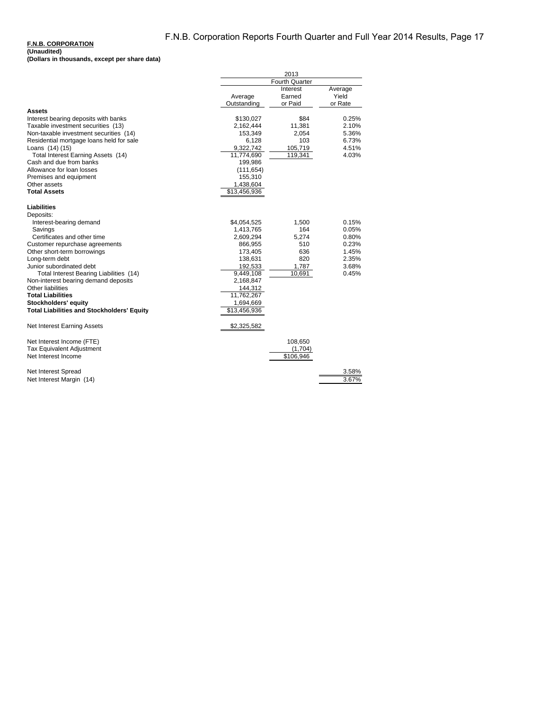### **F.N.B. CORPORATION**

|                                            |              | 2013                  |         |  |
|--------------------------------------------|--------------|-----------------------|---------|--|
|                                            |              | Fourth Quarter        |         |  |
|                                            |              | Interest              | Average |  |
|                                            | Average      | Earned                | Yield   |  |
|                                            | Outstanding  | or Paid               | or Rate |  |
| Assets                                     |              |                       |         |  |
| Interest bearing deposits with banks       | \$130,027    | \$84                  | 0.25%   |  |
| Taxable investment securities (13)         | 2,162,444    | 11,381                | 2.10%   |  |
| Non-taxable investment securities (14)     | 153,349      | 2,054                 | 5.36%   |  |
| Residential mortgage loans held for sale   | 6,128        | 103                   | 6.73%   |  |
| Loans (14) (15)                            | 9,322,742    | 105,719               | 4.51%   |  |
| Total Interest Earning Assets (14)         | 11,774,690   | 119,341               | 4.03%   |  |
| Cash and due from banks                    | 199,986      |                       |         |  |
| Allowance for loan losses                  | (111, 654)   |                       |         |  |
| Premises and equipment                     | 155,310      |                       |         |  |
| Other assets                               | 1,438,604    |                       |         |  |
| <b>Total Assets</b>                        | \$13,456,936 |                       |         |  |
|                                            |              |                       |         |  |
| <b>Liabilities</b>                         |              |                       |         |  |
| Deposits:                                  |              |                       |         |  |
| Interest-bearing demand                    | \$4,054,525  | 1,500                 | 0.15%   |  |
| Savings                                    | 1,413,765    | 164                   | 0.05%   |  |
| Certificates and other time                | 2,609,294    | 5,274                 | 0.80%   |  |
| Customer repurchase agreements             | 866,955      | 510                   | 0.23%   |  |
| Other short-term borrowings                | 173,405      | 636                   | 1.45%   |  |
| Long-term debt                             | 138,631      | 820                   | 2.35%   |  |
| Junior subordinated debt                   | 192,533      | 1,787                 | 3.68%   |  |
| Total Interest Bearing Liabilities (14)    | 9,449,108    | 10,691                | 0.45%   |  |
| Non-interest bearing demand deposits       | 2,168,847    |                       |         |  |
| Other liabilities                          | 144,312      |                       |         |  |
| <b>Total Liabilities</b>                   | 11,762,267   |                       |         |  |
| Stockholders' equity                       | 1,694,669    |                       |         |  |
| Total Liabilities and Stockholders' Equity | \$13,456,936 |                       |         |  |
|                                            |              |                       |         |  |
| Net Interest Earning Assets                | \$2,325,582  |                       |         |  |
|                                            |              |                       |         |  |
| Net Interest Income (FTE)                  |              | 108,650               |         |  |
| <b>Tax Equivalent Adjustment</b>           |              | (1,704)               |         |  |
| Net Interest Income                        |              | $\overline{$}106,946$ |         |  |
|                                            |              |                       |         |  |
| Net Interest Spread                        |              |                       | 3.58%   |  |
| Net Interest Margin (14)                   |              |                       | 3.67%   |  |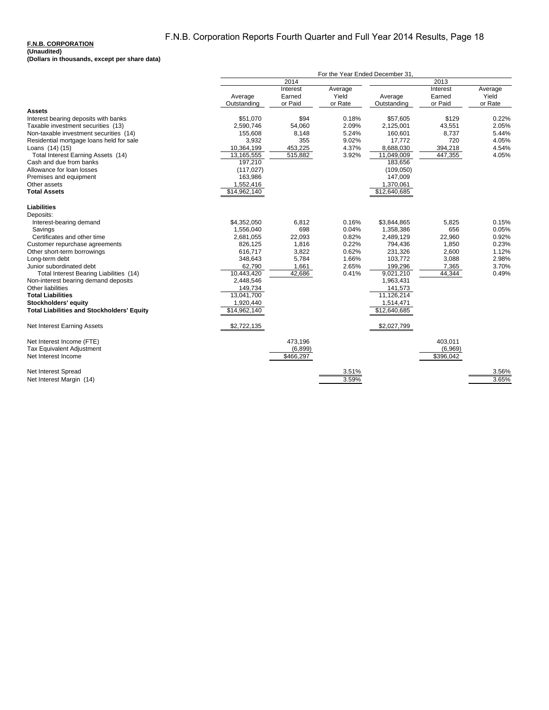# F.N.B. Corporation Reports Fourth Quarter and Full Year 2014 Results, Page 18

### **F.N.B. CORPORATION**

| 2014<br>2013<br>Interest<br>Interest<br>Average<br>Average<br>Earned<br>Yield<br>Average<br>Earned<br>Yield<br>Average<br>or Paid<br>or Paid<br>or Rate<br>or Rate<br>Outstanding<br>Outstanding<br><b>Assets</b><br>\$94<br>\$51,070<br>0.18%<br>\$129<br>0.22%<br>Interest bearing deposits with banks<br>\$57,605<br>54,060<br>2.09%<br>43,551<br>2.05%<br>Taxable investment securities (13)<br>2,590,746<br>2,125,001<br>Non-taxable investment securities (14)<br>8,148<br>5.24%<br>8,737<br>5.44%<br>155,608<br>160,601<br>355<br>9.02%<br>720<br>3,932<br>17,772<br>4.05%<br>Residential mortgage loans held for sale<br>4.37%<br>10,364,199<br>453,225<br>8,688,030<br>394,218<br>4.54%<br>Loans (14) (15)<br>447,355<br>Total Interest Earning Assets (14)<br>13,165,555<br>515,882<br>3.92%<br>11,049,009<br>4.05%<br>Cash and due from banks<br>197,210<br>183,656<br>Allowance for loan losses<br>(117, 027)<br>(109, 050)<br>Premises and equipment<br>163,986<br>147,009<br>Other assets<br>1,552,416<br>1,370,061<br>\$12,640,685<br><b>Total Assets</b><br>\$14,962,140<br><b>Liabilities</b><br>Deposits:<br>\$4,352,050<br>6,812<br>0.16%<br>\$3,844,865<br>5,825<br>0.15%<br>Interest-bearing demand<br>1,556,040<br>698<br>0.04%<br>1,358,386<br>656<br>0.05%<br>Savings<br>Certificates and other time<br>0.82%<br>22,960<br>0.92%<br>2,681,055<br>22,093<br>2,489,129<br>0.22%<br>Customer repurchase agreements<br>826,125<br>1,816<br>794,436<br>1,850<br>0.23%<br>3,822<br>0.62%<br>2,600<br>1.12%<br>Other short-term borrowings<br>616,717<br>231,326<br>3,088<br>5,784<br>1.66%<br>103,772<br>2.98%<br>Long-term debt<br>348,643<br>2.65%<br>3.70%<br>Junior subordinated debt<br>62,790<br>1,661<br>199,296<br>7,365<br>Total Interest Bearing Liabilities (14)<br>10,443,420<br>42,686<br>9,021,210<br>44,344<br>0.41%<br>0.49%<br>2,448,546<br>1,963,431<br>Non-interest bearing demand deposits<br>Other liabilities<br>149,734<br>141,573<br>11,126,214<br>13,041,700<br><b>Total Liabilities</b><br>Stockholders' equity<br>1,920,440<br>1,514,471<br><b>Total Liabilities and Stockholders' Equity</b><br>\$12,640,685<br>\$14,962,140<br>\$2,722,135<br>\$2,027,799<br>Net Interest Earning Assets<br>Net Interest Income (FTE)<br>473,196<br>403,011<br>Tax Equivalent Adjustment<br>(6, 899)<br>(6,969)<br>\$466,297<br>$\overline{$396,042}$<br>Net Interest Income<br>Net Interest Spread<br>3.51%<br>3.56%<br>3.59%<br>Net Interest Margin (14)<br>3.65% |  | For the Year Ended December 31, |  |  |  |  |
|----------------------------------------------------------------------------------------------------------------------------------------------------------------------------------------------------------------------------------------------------------------------------------------------------------------------------------------------------------------------------------------------------------------------------------------------------------------------------------------------------------------------------------------------------------------------------------------------------------------------------------------------------------------------------------------------------------------------------------------------------------------------------------------------------------------------------------------------------------------------------------------------------------------------------------------------------------------------------------------------------------------------------------------------------------------------------------------------------------------------------------------------------------------------------------------------------------------------------------------------------------------------------------------------------------------------------------------------------------------------------------------------------------------------------------------------------------------------------------------------------------------------------------------------------------------------------------------------------------------------------------------------------------------------------------------------------------------------------------------------------------------------------------------------------------------------------------------------------------------------------------------------------------------------------------------------------------------------------------------------------------------------------------------------------------------------------------------------------------------------------------------------------------------------------------------------------------------------------------------------------------------------------------------------------------------------------------------------------------------------------------------------------------------------------------------------------------------------------------------------------|--|---------------------------------|--|--|--|--|
|                                                                                                                                                                                                                                                                                                                                                                                                                                                                                                                                                                                                                                                                                                                                                                                                                                                                                                                                                                                                                                                                                                                                                                                                                                                                                                                                                                                                                                                                                                                                                                                                                                                                                                                                                                                                                                                                                                                                                                                                                                                                                                                                                                                                                                                                                                                                                                                                                                                                                                    |  |                                 |  |  |  |  |
|                                                                                                                                                                                                                                                                                                                                                                                                                                                                                                                                                                                                                                                                                                                                                                                                                                                                                                                                                                                                                                                                                                                                                                                                                                                                                                                                                                                                                                                                                                                                                                                                                                                                                                                                                                                                                                                                                                                                                                                                                                                                                                                                                                                                                                                                                                                                                                                                                                                                                                    |  |                                 |  |  |  |  |
|                                                                                                                                                                                                                                                                                                                                                                                                                                                                                                                                                                                                                                                                                                                                                                                                                                                                                                                                                                                                                                                                                                                                                                                                                                                                                                                                                                                                                                                                                                                                                                                                                                                                                                                                                                                                                                                                                                                                                                                                                                                                                                                                                                                                                                                                                                                                                                                                                                                                                                    |  |                                 |  |  |  |  |
|                                                                                                                                                                                                                                                                                                                                                                                                                                                                                                                                                                                                                                                                                                                                                                                                                                                                                                                                                                                                                                                                                                                                                                                                                                                                                                                                                                                                                                                                                                                                                                                                                                                                                                                                                                                                                                                                                                                                                                                                                                                                                                                                                                                                                                                                                                                                                                                                                                                                                                    |  |                                 |  |  |  |  |
|                                                                                                                                                                                                                                                                                                                                                                                                                                                                                                                                                                                                                                                                                                                                                                                                                                                                                                                                                                                                                                                                                                                                                                                                                                                                                                                                                                                                                                                                                                                                                                                                                                                                                                                                                                                                                                                                                                                                                                                                                                                                                                                                                                                                                                                                                                                                                                                                                                                                                                    |  |                                 |  |  |  |  |
|                                                                                                                                                                                                                                                                                                                                                                                                                                                                                                                                                                                                                                                                                                                                                                                                                                                                                                                                                                                                                                                                                                                                                                                                                                                                                                                                                                                                                                                                                                                                                                                                                                                                                                                                                                                                                                                                                                                                                                                                                                                                                                                                                                                                                                                                                                                                                                                                                                                                                                    |  |                                 |  |  |  |  |
|                                                                                                                                                                                                                                                                                                                                                                                                                                                                                                                                                                                                                                                                                                                                                                                                                                                                                                                                                                                                                                                                                                                                                                                                                                                                                                                                                                                                                                                                                                                                                                                                                                                                                                                                                                                                                                                                                                                                                                                                                                                                                                                                                                                                                                                                                                                                                                                                                                                                                                    |  |                                 |  |  |  |  |
|                                                                                                                                                                                                                                                                                                                                                                                                                                                                                                                                                                                                                                                                                                                                                                                                                                                                                                                                                                                                                                                                                                                                                                                                                                                                                                                                                                                                                                                                                                                                                                                                                                                                                                                                                                                                                                                                                                                                                                                                                                                                                                                                                                                                                                                                                                                                                                                                                                                                                                    |  |                                 |  |  |  |  |
|                                                                                                                                                                                                                                                                                                                                                                                                                                                                                                                                                                                                                                                                                                                                                                                                                                                                                                                                                                                                                                                                                                                                                                                                                                                                                                                                                                                                                                                                                                                                                                                                                                                                                                                                                                                                                                                                                                                                                                                                                                                                                                                                                                                                                                                                                                                                                                                                                                                                                                    |  |                                 |  |  |  |  |
|                                                                                                                                                                                                                                                                                                                                                                                                                                                                                                                                                                                                                                                                                                                                                                                                                                                                                                                                                                                                                                                                                                                                                                                                                                                                                                                                                                                                                                                                                                                                                                                                                                                                                                                                                                                                                                                                                                                                                                                                                                                                                                                                                                                                                                                                                                                                                                                                                                                                                                    |  |                                 |  |  |  |  |
|                                                                                                                                                                                                                                                                                                                                                                                                                                                                                                                                                                                                                                                                                                                                                                                                                                                                                                                                                                                                                                                                                                                                                                                                                                                                                                                                                                                                                                                                                                                                                                                                                                                                                                                                                                                                                                                                                                                                                                                                                                                                                                                                                                                                                                                                                                                                                                                                                                                                                                    |  |                                 |  |  |  |  |
|                                                                                                                                                                                                                                                                                                                                                                                                                                                                                                                                                                                                                                                                                                                                                                                                                                                                                                                                                                                                                                                                                                                                                                                                                                                                                                                                                                                                                                                                                                                                                                                                                                                                                                                                                                                                                                                                                                                                                                                                                                                                                                                                                                                                                                                                                                                                                                                                                                                                                                    |  |                                 |  |  |  |  |
|                                                                                                                                                                                                                                                                                                                                                                                                                                                                                                                                                                                                                                                                                                                                                                                                                                                                                                                                                                                                                                                                                                                                                                                                                                                                                                                                                                                                                                                                                                                                                                                                                                                                                                                                                                                                                                                                                                                                                                                                                                                                                                                                                                                                                                                                                                                                                                                                                                                                                                    |  |                                 |  |  |  |  |
|                                                                                                                                                                                                                                                                                                                                                                                                                                                                                                                                                                                                                                                                                                                                                                                                                                                                                                                                                                                                                                                                                                                                                                                                                                                                                                                                                                                                                                                                                                                                                                                                                                                                                                                                                                                                                                                                                                                                                                                                                                                                                                                                                                                                                                                                                                                                                                                                                                                                                                    |  |                                 |  |  |  |  |
|                                                                                                                                                                                                                                                                                                                                                                                                                                                                                                                                                                                                                                                                                                                                                                                                                                                                                                                                                                                                                                                                                                                                                                                                                                                                                                                                                                                                                                                                                                                                                                                                                                                                                                                                                                                                                                                                                                                                                                                                                                                                                                                                                                                                                                                                                                                                                                                                                                                                                                    |  |                                 |  |  |  |  |
|                                                                                                                                                                                                                                                                                                                                                                                                                                                                                                                                                                                                                                                                                                                                                                                                                                                                                                                                                                                                                                                                                                                                                                                                                                                                                                                                                                                                                                                                                                                                                                                                                                                                                                                                                                                                                                                                                                                                                                                                                                                                                                                                                                                                                                                                                                                                                                                                                                                                                                    |  |                                 |  |  |  |  |
|                                                                                                                                                                                                                                                                                                                                                                                                                                                                                                                                                                                                                                                                                                                                                                                                                                                                                                                                                                                                                                                                                                                                                                                                                                                                                                                                                                                                                                                                                                                                                                                                                                                                                                                                                                                                                                                                                                                                                                                                                                                                                                                                                                                                                                                                                                                                                                                                                                                                                                    |  |                                 |  |  |  |  |
|                                                                                                                                                                                                                                                                                                                                                                                                                                                                                                                                                                                                                                                                                                                                                                                                                                                                                                                                                                                                                                                                                                                                                                                                                                                                                                                                                                                                                                                                                                                                                                                                                                                                                                                                                                                                                                                                                                                                                                                                                                                                                                                                                                                                                                                                                                                                                                                                                                                                                                    |  |                                 |  |  |  |  |
|                                                                                                                                                                                                                                                                                                                                                                                                                                                                                                                                                                                                                                                                                                                                                                                                                                                                                                                                                                                                                                                                                                                                                                                                                                                                                                                                                                                                                                                                                                                                                                                                                                                                                                                                                                                                                                                                                                                                                                                                                                                                                                                                                                                                                                                                                                                                                                                                                                                                                                    |  |                                 |  |  |  |  |
|                                                                                                                                                                                                                                                                                                                                                                                                                                                                                                                                                                                                                                                                                                                                                                                                                                                                                                                                                                                                                                                                                                                                                                                                                                                                                                                                                                                                                                                                                                                                                                                                                                                                                                                                                                                                                                                                                                                                                                                                                                                                                                                                                                                                                                                                                                                                                                                                                                                                                                    |  |                                 |  |  |  |  |
|                                                                                                                                                                                                                                                                                                                                                                                                                                                                                                                                                                                                                                                                                                                                                                                                                                                                                                                                                                                                                                                                                                                                                                                                                                                                                                                                                                                                                                                                                                                                                                                                                                                                                                                                                                                                                                                                                                                                                                                                                                                                                                                                                                                                                                                                                                                                                                                                                                                                                                    |  |                                 |  |  |  |  |
|                                                                                                                                                                                                                                                                                                                                                                                                                                                                                                                                                                                                                                                                                                                                                                                                                                                                                                                                                                                                                                                                                                                                                                                                                                                                                                                                                                                                                                                                                                                                                                                                                                                                                                                                                                                                                                                                                                                                                                                                                                                                                                                                                                                                                                                                                                                                                                                                                                                                                                    |  |                                 |  |  |  |  |
|                                                                                                                                                                                                                                                                                                                                                                                                                                                                                                                                                                                                                                                                                                                                                                                                                                                                                                                                                                                                                                                                                                                                                                                                                                                                                                                                                                                                                                                                                                                                                                                                                                                                                                                                                                                                                                                                                                                                                                                                                                                                                                                                                                                                                                                                                                                                                                                                                                                                                                    |  |                                 |  |  |  |  |
|                                                                                                                                                                                                                                                                                                                                                                                                                                                                                                                                                                                                                                                                                                                                                                                                                                                                                                                                                                                                                                                                                                                                                                                                                                                                                                                                                                                                                                                                                                                                                                                                                                                                                                                                                                                                                                                                                                                                                                                                                                                                                                                                                                                                                                                                                                                                                                                                                                                                                                    |  |                                 |  |  |  |  |
|                                                                                                                                                                                                                                                                                                                                                                                                                                                                                                                                                                                                                                                                                                                                                                                                                                                                                                                                                                                                                                                                                                                                                                                                                                                                                                                                                                                                                                                                                                                                                                                                                                                                                                                                                                                                                                                                                                                                                                                                                                                                                                                                                                                                                                                                                                                                                                                                                                                                                                    |  |                                 |  |  |  |  |
|                                                                                                                                                                                                                                                                                                                                                                                                                                                                                                                                                                                                                                                                                                                                                                                                                                                                                                                                                                                                                                                                                                                                                                                                                                                                                                                                                                                                                                                                                                                                                                                                                                                                                                                                                                                                                                                                                                                                                                                                                                                                                                                                                                                                                                                                                                                                                                                                                                                                                                    |  |                                 |  |  |  |  |
|                                                                                                                                                                                                                                                                                                                                                                                                                                                                                                                                                                                                                                                                                                                                                                                                                                                                                                                                                                                                                                                                                                                                                                                                                                                                                                                                                                                                                                                                                                                                                                                                                                                                                                                                                                                                                                                                                                                                                                                                                                                                                                                                                                                                                                                                                                                                                                                                                                                                                                    |  |                                 |  |  |  |  |
|                                                                                                                                                                                                                                                                                                                                                                                                                                                                                                                                                                                                                                                                                                                                                                                                                                                                                                                                                                                                                                                                                                                                                                                                                                                                                                                                                                                                                                                                                                                                                                                                                                                                                                                                                                                                                                                                                                                                                                                                                                                                                                                                                                                                                                                                                                                                                                                                                                                                                                    |  |                                 |  |  |  |  |
|                                                                                                                                                                                                                                                                                                                                                                                                                                                                                                                                                                                                                                                                                                                                                                                                                                                                                                                                                                                                                                                                                                                                                                                                                                                                                                                                                                                                                                                                                                                                                                                                                                                                                                                                                                                                                                                                                                                                                                                                                                                                                                                                                                                                                                                                                                                                                                                                                                                                                                    |  |                                 |  |  |  |  |
|                                                                                                                                                                                                                                                                                                                                                                                                                                                                                                                                                                                                                                                                                                                                                                                                                                                                                                                                                                                                                                                                                                                                                                                                                                                                                                                                                                                                                                                                                                                                                                                                                                                                                                                                                                                                                                                                                                                                                                                                                                                                                                                                                                                                                                                                                                                                                                                                                                                                                                    |  |                                 |  |  |  |  |
|                                                                                                                                                                                                                                                                                                                                                                                                                                                                                                                                                                                                                                                                                                                                                                                                                                                                                                                                                                                                                                                                                                                                                                                                                                                                                                                                                                                                                                                                                                                                                                                                                                                                                                                                                                                                                                                                                                                                                                                                                                                                                                                                                                                                                                                                                                                                                                                                                                                                                                    |  |                                 |  |  |  |  |
|                                                                                                                                                                                                                                                                                                                                                                                                                                                                                                                                                                                                                                                                                                                                                                                                                                                                                                                                                                                                                                                                                                                                                                                                                                                                                                                                                                                                                                                                                                                                                                                                                                                                                                                                                                                                                                                                                                                                                                                                                                                                                                                                                                                                                                                                                                                                                                                                                                                                                                    |  |                                 |  |  |  |  |
|                                                                                                                                                                                                                                                                                                                                                                                                                                                                                                                                                                                                                                                                                                                                                                                                                                                                                                                                                                                                                                                                                                                                                                                                                                                                                                                                                                                                                                                                                                                                                                                                                                                                                                                                                                                                                                                                                                                                                                                                                                                                                                                                                                                                                                                                                                                                                                                                                                                                                                    |  |                                 |  |  |  |  |
|                                                                                                                                                                                                                                                                                                                                                                                                                                                                                                                                                                                                                                                                                                                                                                                                                                                                                                                                                                                                                                                                                                                                                                                                                                                                                                                                                                                                                                                                                                                                                                                                                                                                                                                                                                                                                                                                                                                                                                                                                                                                                                                                                                                                                                                                                                                                                                                                                                                                                                    |  |                                 |  |  |  |  |
|                                                                                                                                                                                                                                                                                                                                                                                                                                                                                                                                                                                                                                                                                                                                                                                                                                                                                                                                                                                                                                                                                                                                                                                                                                                                                                                                                                                                                                                                                                                                                                                                                                                                                                                                                                                                                                                                                                                                                                                                                                                                                                                                                                                                                                                                                                                                                                                                                                                                                                    |  |                                 |  |  |  |  |
|                                                                                                                                                                                                                                                                                                                                                                                                                                                                                                                                                                                                                                                                                                                                                                                                                                                                                                                                                                                                                                                                                                                                                                                                                                                                                                                                                                                                                                                                                                                                                                                                                                                                                                                                                                                                                                                                                                                                                                                                                                                                                                                                                                                                                                                                                                                                                                                                                                                                                                    |  |                                 |  |  |  |  |
|                                                                                                                                                                                                                                                                                                                                                                                                                                                                                                                                                                                                                                                                                                                                                                                                                                                                                                                                                                                                                                                                                                                                                                                                                                                                                                                                                                                                                                                                                                                                                                                                                                                                                                                                                                                                                                                                                                                                                                                                                                                                                                                                                                                                                                                                                                                                                                                                                                                                                                    |  |                                 |  |  |  |  |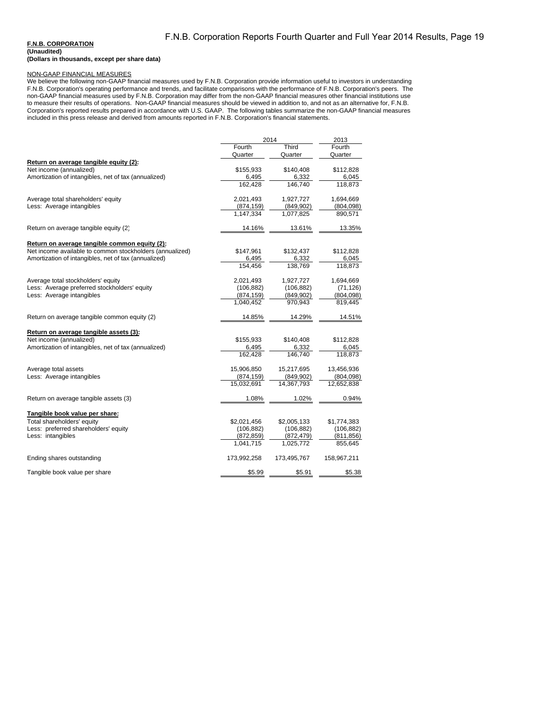### **F.N.B. CORPORATION**

### NON-GAAP FINANCIAL MEASURES

We believe the following non-GAAP financial measures used by F.N.B. Corporation provide information useful to investors in understanding F.N.B. Corporation's operating performance and trends, and facilitate comparisons with the performance of F.N.B. Corporation's peers. The non-GAAP financial measures used by F.N.B. Corporation may differ from the non-GAAP financial measures other financial institutions use to measure their results of operations. Non-GAAP financial measures should be viewed in addition to, and not as an alternative for, F.N.B. Corporation's reported results prepared in accordance with U.S. GAAP. The following tables summarize the non-GAAP financial measures included in this press release and derived from amounts reported in F.N.B. Corporation's financial statements.

| Fourth<br>Third<br>Fourth<br>Quarter<br>Quarter<br>Quarter<br>Return on average tangible equity (2):<br>Net income (annualized)<br>\$155,933<br>\$140,408<br>\$112,828<br>Amortization of intangibles, net of tax (annualized)<br>6,495<br>6,332<br>6,045<br>146.740<br>162,428<br>118,873<br>Average total shareholders' equity<br>2,021,493<br>1,927,727<br>1,694,669<br>Less: Average intangibles<br>(874, 159)<br>(849,902)<br>(804,098)<br>1.147.334<br>1.077.825<br>890.571<br>Return on average tangible equity (2)<br>14.16%<br>13.61%<br>13.35%<br>Return on average tangible common equity (2):<br>Net income available to common stockholders (annualized)<br>\$147,961<br>\$132,437<br>\$112,828<br>Amortization of intangibles, net of tax (annualized)<br>6,495<br>6,332<br>6,045<br>154,456<br>138,769<br>118,873<br>Average total stockholders' equity<br>2,021,493<br>1,927,727<br>1,694,669<br>Less: Average preferred stockholders' equity<br>(106, 882)<br>(106, 882)<br>(71, 126)<br>Less: Average intangibles<br>(874, 159)<br>(849, 902)<br>(804,098)<br>1,040,452<br>970,943<br>819,445<br>Return on average tangible common equity (2)<br>14.85%<br>14.29%<br>14.51%<br>Return on average tangible assets (3):<br>Net income (annualized)<br>\$140,408<br>\$155,933<br>\$112,828<br>Amortization of intangibles, net of tax (annualized)<br>6,495<br>6,332<br>6,045<br>146,740<br>118,873<br>162.428<br>15,906,850<br>Average total assets<br>15,217,695<br>13,456,936<br>Less: Average intangibles<br>(874, 159)<br>(849,902)<br>(804,098)<br>15,032,691<br>14,367,793<br>12,652,838<br>Return on average tangible assets (3)<br>1.08%<br>1.02%<br>0.94%<br>Tangible book value per share:<br>Total shareholders' equity<br>\$2,021,456<br>\$2,005,133<br>\$1,774,383<br>Less: preferred shareholders' equity<br>(106, 882)<br>(106, 882)<br>(106, 882)<br>Less: intangibles<br>(872, 859)<br>(872, 479)<br>(811,856)<br>1,041,715<br>1,025,772<br>855,645<br>Ending shares outstanding<br>173,992,258<br>173,495,767<br>158,967,211<br>Tangible book value per share<br>\$5.99<br>\$5.91<br>\$5.38 |  | 2014 |  |
|-------------------------------------------------------------------------------------------------------------------------------------------------------------------------------------------------------------------------------------------------------------------------------------------------------------------------------------------------------------------------------------------------------------------------------------------------------------------------------------------------------------------------------------------------------------------------------------------------------------------------------------------------------------------------------------------------------------------------------------------------------------------------------------------------------------------------------------------------------------------------------------------------------------------------------------------------------------------------------------------------------------------------------------------------------------------------------------------------------------------------------------------------------------------------------------------------------------------------------------------------------------------------------------------------------------------------------------------------------------------------------------------------------------------------------------------------------------------------------------------------------------------------------------------------------------------------------------------------------------------------------------------------------------------------------------------------------------------------------------------------------------------------------------------------------------------------------------------------------------------------------------------------------------------------------------------------------------------------------------------------------------------------------------------------------------------------------------------------------------------------------|--|------|--|
|                                                                                                                                                                                                                                                                                                                                                                                                                                                                                                                                                                                                                                                                                                                                                                                                                                                                                                                                                                                                                                                                                                                                                                                                                                                                                                                                                                                                                                                                                                                                                                                                                                                                                                                                                                                                                                                                                                                                                                                                                                                                                                                               |  |      |  |
|                                                                                                                                                                                                                                                                                                                                                                                                                                                                                                                                                                                                                                                                                                                                                                                                                                                                                                                                                                                                                                                                                                                                                                                                                                                                                                                                                                                                                                                                                                                                                                                                                                                                                                                                                                                                                                                                                                                                                                                                                                                                                                                               |  |      |  |
|                                                                                                                                                                                                                                                                                                                                                                                                                                                                                                                                                                                                                                                                                                                                                                                                                                                                                                                                                                                                                                                                                                                                                                                                                                                                                                                                                                                                                                                                                                                                                                                                                                                                                                                                                                                                                                                                                                                                                                                                                                                                                                                               |  |      |  |
|                                                                                                                                                                                                                                                                                                                                                                                                                                                                                                                                                                                                                                                                                                                                                                                                                                                                                                                                                                                                                                                                                                                                                                                                                                                                                                                                                                                                                                                                                                                                                                                                                                                                                                                                                                                                                                                                                                                                                                                                                                                                                                                               |  |      |  |
|                                                                                                                                                                                                                                                                                                                                                                                                                                                                                                                                                                                                                                                                                                                                                                                                                                                                                                                                                                                                                                                                                                                                                                                                                                                                                                                                                                                                                                                                                                                                                                                                                                                                                                                                                                                                                                                                                                                                                                                                                                                                                                                               |  |      |  |
|                                                                                                                                                                                                                                                                                                                                                                                                                                                                                                                                                                                                                                                                                                                                                                                                                                                                                                                                                                                                                                                                                                                                                                                                                                                                                                                                                                                                                                                                                                                                                                                                                                                                                                                                                                                                                                                                                                                                                                                                                                                                                                                               |  |      |  |
|                                                                                                                                                                                                                                                                                                                                                                                                                                                                                                                                                                                                                                                                                                                                                                                                                                                                                                                                                                                                                                                                                                                                                                                                                                                                                                                                                                                                                                                                                                                                                                                                                                                                                                                                                                                                                                                                                                                                                                                                                                                                                                                               |  |      |  |
|                                                                                                                                                                                                                                                                                                                                                                                                                                                                                                                                                                                                                                                                                                                                                                                                                                                                                                                                                                                                                                                                                                                                                                                                                                                                                                                                                                                                                                                                                                                                                                                                                                                                                                                                                                                                                                                                                                                                                                                                                                                                                                                               |  |      |  |
|                                                                                                                                                                                                                                                                                                                                                                                                                                                                                                                                                                                                                                                                                                                                                                                                                                                                                                                                                                                                                                                                                                                                                                                                                                                                                                                                                                                                                                                                                                                                                                                                                                                                                                                                                                                                                                                                                                                                                                                                                                                                                                                               |  |      |  |
|                                                                                                                                                                                                                                                                                                                                                                                                                                                                                                                                                                                                                                                                                                                                                                                                                                                                                                                                                                                                                                                                                                                                                                                                                                                                                                                                                                                                                                                                                                                                                                                                                                                                                                                                                                                                                                                                                                                                                                                                                                                                                                                               |  |      |  |
|                                                                                                                                                                                                                                                                                                                                                                                                                                                                                                                                                                                                                                                                                                                                                                                                                                                                                                                                                                                                                                                                                                                                                                                                                                                                                                                                                                                                                                                                                                                                                                                                                                                                                                                                                                                                                                                                                                                                                                                                                                                                                                                               |  |      |  |
|                                                                                                                                                                                                                                                                                                                                                                                                                                                                                                                                                                                                                                                                                                                                                                                                                                                                                                                                                                                                                                                                                                                                                                                                                                                                                                                                                                                                                                                                                                                                                                                                                                                                                                                                                                                                                                                                                                                                                                                                                                                                                                                               |  |      |  |
|                                                                                                                                                                                                                                                                                                                                                                                                                                                                                                                                                                                                                                                                                                                                                                                                                                                                                                                                                                                                                                                                                                                                                                                                                                                                                                                                                                                                                                                                                                                                                                                                                                                                                                                                                                                                                                                                                                                                                                                                                                                                                                                               |  |      |  |
|                                                                                                                                                                                                                                                                                                                                                                                                                                                                                                                                                                                                                                                                                                                                                                                                                                                                                                                                                                                                                                                                                                                                                                                                                                                                                                                                                                                                                                                                                                                                                                                                                                                                                                                                                                                                                                                                                                                                                                                                                                                                                                                               |  |      |  |
|                                                                                                                                                                                                                                                                                                                                                                                                                                                                                                                                                                                                                                                                                                                                                                                                                                                                                                                                                                                                                                                                                                                                                                                                                                                                                                                                                                                                                                                                                                                                                                                                                                                                                                                                                                                                                                                                                                                                                                                                                                                                                                                               |  |      |  |
|                                                                                                                                                                                                                                                                                                                                                                                                                                                                                                                                                                                                                                                                                                                                                                                                                                                                                                                                                                                                                                                                                                                                                                                                                                                                                                                                                                                                                                                                                                                                                                                                                                                                                                                                                                                                                                                                                                                                                                                                                                                                                                                               |  |      |  |
|                                                                                                                                                                                                                                                                                                                                                                                                                                                                                                                                                                                                                                                                                                                                                                                                                                                                                                                                                                                                                                                                                                                                                                                                                                                                                                                                                                                                                                                                                                                                                                                                                                                                                                                                                                                                                                                                                                                                                                                                                                                                                                                               |  |      |  |
|                                                                                                                                                                                                                                                                                                                                                                                                                                                                                                                                                                                                                                                                                                                                                                                                                                                                                                                                                                                                                                                                                                                                                                                                                                                                                                                                                                                                                                                                                                                                                                                                                                                                                                                                                                                                                                                                                                                                                                                                                                                                                                                               |  |      |  |
|                                                                                                                                                                                                                                                                                                                                                                                                                                                                                                                                                                                                                                                                                                                                                                                                                                                                                                                                                                                                                                                                                                                                                                                                                                                                                                                                                                                                                                                                                                                                                                                                                                                                                                                                                                                                                                                                                                                                                                                                                                                                                                                               |  |      |  |
|                                                                                                                                                                                                                                                                                                                                                                                                                                                                                                                                                                                                                                                                                                                                                                                                                                                                                                                                                                                                                                                                                                                                                                                                                                                                                                                                                                                                                                                                                                                                                                                                                                                                                                                                                                                                                                                                                                                                                                                                                                                                                                                               |  |      |  |
|                                                                                                                                                                                                                                                                                                                                                                                                                                                                                                                                                                                                                                                                                                                                                                                                                                                                                                                                                                                                                                                                                                                                                                                                                                                                                                                                                                                                                                                                                                                                                                                                                                                                                                                                                                                                                                                                                                                                                                                                                                                                                                                               |  |      |  |
|                                                                                                                                                                                                                                                                                                                                                                                                                                                                                                                                                                                                                                                                                                                                                                                                                                                                                                                                                                                                                                                                                                                                                                                                                                                                                                                                                                                                                                                                                                                                                                                                                                                                                                                                                                                                                                                                                                                                                                                                                                                                                                                               |  |      |  |
|                                                                                                                                                                                                                                                                                                                                                                                                                                                                                                                                                                                                                                                                                                                                                                                                                                                                                                                                                                                                                                                                                                                                                                                                                                                                                                                                                                                                                                                                                                                                                                                                                                                                                                                                                                                                                                                                                                                                                                                                                                                                                                                               |  |      |  |
|                                                                                                                                                                                                                                                                                                                                                                                                                                                                                                                                                                                                                                                                                                                                                                                                                                                                                                                                                                                                                                                                                                                                                                                                                                                                                                                                                                                                                                                                                                                                                                                                                                                                                                                                                                                                                                                                                                                                                                                                                                                                                                                               |  |      |  |
|                                                                                                                                                                                                                                                                                                                                                                                                                                                                                                                                                                                                                                                                                                                                                                                                                                                                                                                                                                                                                                                                                                                                                                                                                                                                                                                                                                                                                                                                                                                                                                                                                                                                                                                                                                                                                                                                                                                                                                                                                                                                                                                               |  |      |  |
|                                                                                                                                                                                                                                                                                                                                                                                                                                                                                                                                                                                                                                                                                                                                                                                                                                                                                                                                                                                                                                                                                                                                                                                                                                                                                                                                                                                                                                                                                                                                                                                                                                                                                                                                                                                                                                                                                                                                                                                                                                                                                                                               |  |      |  |
|                                                                                                                                                                                                                                                                                                                                                                                                                                                                                                                                                                                                                                                                                                                                                                                                                                                                                                                                                                                                                                                                                                                                                                                                                                                                                                                                                                                                                                                                                                                                                                                                                                                                                                                                                                                                                                                                                                                                                                                                                                                                                                                               |  |      |  |
|                                                                                                                                                                                                                                                                                                                                                                                                                                                                                                                                                                                                                                                                                                                                                                                                                                                                                                                                                                                                                                                                                                                                                                                                                                                                                                                                                                                                                                                                                                                                                                                                                                                                                                                                                                                                                                                                                                                                                                                                                                                                                                                               |  |      |  |
|                                                                                                                                                                                                                                                                                                                                                                                                                                                                                                                                                                                                                                                                                                                                                                                                                                                                                                                                                                                                                                                                                                                                                                                                                                                                                                                                                                                                                                                                                                                                                                                                                                                                                                                                                                                                                                                                                                                                                                                                                                                                                                                               |  |      |  |
|                                                                                                                                                                                                                                                                                                                                                                                                                                                                                                                                                                                                                                                                                                                                                                                                                                                                                                                                                                                                                                                                                                                                                                                                                                                                                                                                                                                                                                                                                                                                                                                                                                                                                                                                                                                                                                                                                                                                                                                                                                                                                                                               |  |      |  |
|                                                                                                                                                                                                                                                                                                                                                                                                                                                                                                                                                                                                                                                                                                                                                                                                                                                                                                                                                                                                                                                                                                                                                                                                                                                                                                                                                                                                                                                                                                                                                                                                                                                                                                                                                                                                                                                                                                                                                                                                                                                                                                                               |  |      |  |
|                                                                                                                                                                                                                                                                                                                                                                                                                                                                                                                                                                                                                                                                                                                                                                                                                                                                                                                                                                                                                                                                                                                                                                                                                                                                                                                                                                                                                                                                                                                                                                                                                                                                                                                                                                                                                                                                                                                                                                                                                                                                                                                               |  |      |  |
|                                                                                                                                                                                                                                                                                                                                                                                                                                                                                                                                                                                                                                                                                                                                                                                                                                                                                                                                                                                                                                                                                                                                                                                                                                                                                                                                                                                                                                                                                                                                                                                                                                                                                                                                                                                                                                                                                                                                                                                                                                                                                                                               |  |      |  |
|                                                                                                                                                                                                                                                                                                                                                                                                                                                                                                                                                                                                                                                                                                                                                                                                                                                                                                                                                                                                                                                                                                                                                                                                                                                                                                                                                                                                                                                                                                                                                                                                                                                                                                                                                                                                                                                                                                                                                                                                                                                                                                                               |  |      |  |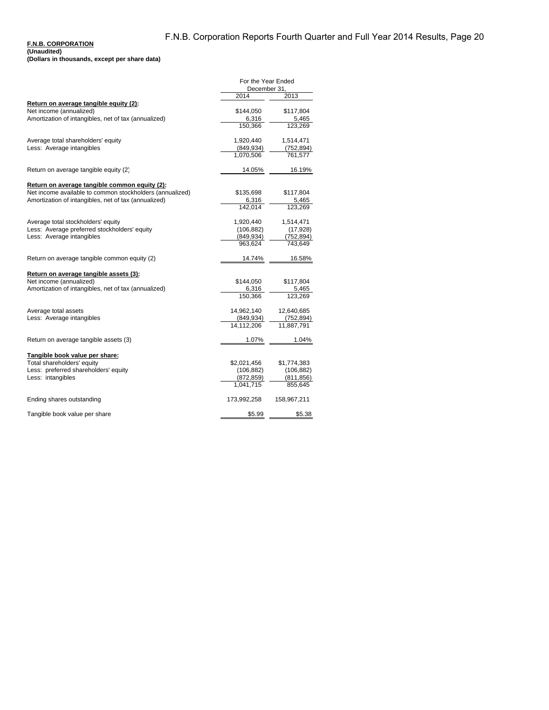#### **F.N.B. CORPORATION (Unaudited)**

**(Dollars in thousands, except per share data)**

|                                                          | For the Year Ended<br>December 31. |             |  |
|----------------------------------------------------------|------------------------------------|-------------|--|
|                                                          | 2014                               | 2013        |  |
| Return on average tangible equity (2):                   |                                    |             |  |
| Net income (annualized)                                  | \$144,050                          | \$117,804   |  |
| Amortization of intangibles, net of tax (annualized)     | 6,316                              | 5,465       |  |
|                                                          | 150.366                            | 123.269     |  |
| Average total shareholders' equity                       | 1,920,440                          | 1,514,471   |  |
| Less: Average intangibles                                | (849, 934)                         | (752, 894)  |  |
|                                                          | 1,070,506                          | 761,577     |  |
| Return on average tangible equity (2)                    | 14.05%                             | 16.19%      |  |
| Return on average tangible common equity (2):            |                                    |             |  |
| Net income available to common stockholders (annualized) | \$135,698                          | \$117,804   |  |
| Amortization of intangibles, net of tax (annualized)     | 6,316                              | 5,465       |  |
|                                                          | 142.014                            | 123,269     |  |
| Average total stockholders' equity                       | 1,920,440                          | 1,514,471   |  |
| Less: Average preferred stockholders' equity             | (106, 882)                         | (17, 928)   |  |
| Less: Average intangibles                                | (849,934)                          | (752,894)   |  |
|                                                          | 963.624                            | 743,649     |  |
| Return on average tangible common equity (2)             | 14.74%                             | 16.58%      |  |
| Return on average tangible assets (3):                   |                                    |             |  |
| Net income (annualized)                                  | \$144,050                          | \$117,804   |  |
| Amortization of intangibles, net of tax (annualized)     | 6,316                              | 5,465       |  |
|                                                          | 150,366                            | 123,269     |  |
| Average total assets                                     | 14,962,140                         | 12,640,685  |  |
| Less: Average intangibles                                | (849, 934)                         | (752, 894)  |  |
|                                                          | 14,112,206                         | 11,887,791  |  |
| Return on average tangible assets (3)                    | 1.07%                              | 1.04%       |  |
| Tangible book value per share:                           |                                    |             |  |
| Total shareholders' equity                               | \$2,021,456                        | \$1,774,383 |  |
| Less: preferred shareholders' equity                     | (106, 882)                         | (106, 882)  |  |
| Less: intangibles                                        | (872, 859)                         | (811, 856)  |  |
|                                                          | 1,041,715                          | 855,645     |  |
| Ending shares outstanding                                | 173,992,258                        | 158,967,211 |  |
| Tangible book value per share                            | \$5.99                             | \$5.38      |  |